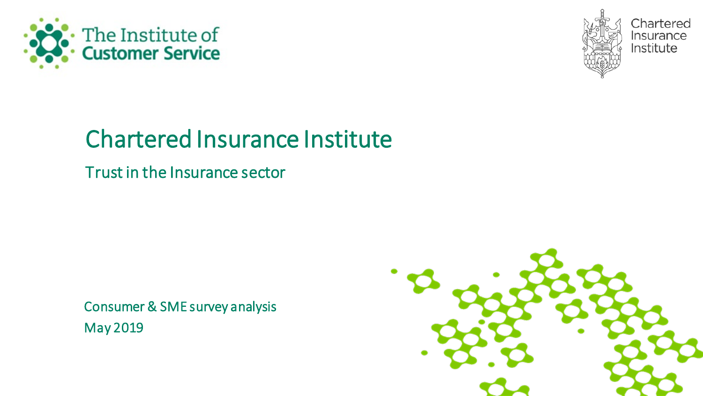



Chartered Insurance Institute

# Chartered Insurance Institute

Trust in the Insurance sector

Consumer & SME survey analysis May 2019

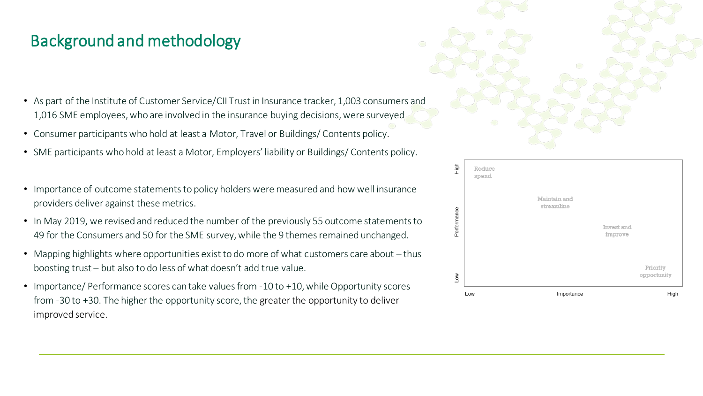#### Background and methodology

- As part of the Institute of Customer Service/CII Trust in Insurance tracker, 1,003 consumers and 1,016 SME employees, who are involved in the insurance buying decisions, were surveyed
- Consumer participants who hold at least a Motor, Travel or Buildings/ Contents policy.
- SME participants who hold at least a Motor, Employers' liability or Buildings/ Contents policy.
- Importance of outcome statements to policy holders were measured and how well insurance providers deliver against these metrics.
- In May 2019, we revised and reduced the number of the previously 55 outcome statements to 49 for the Consumers and 50 for the SME survey, while the 9 themes remained unchanged.
- Mapping highlights where opportunities exist to do more of what customers care about thus boosting trust – but also to do less of what doesn't add true value.
- Importance/ Performance scores can take values from -10 to +10, while Opportunity scores from -30 to +30. The higher the opportunity score, the greater the opportunity to deliver improved service.



| Low         | Low             | Importance                 | opportunity<br>High   |
|-------------|-----------------|----------------------------|-----------------------|
|             |                 |                            | Priority              |
| Performance |                 |                            | Invest and<br>improve |
|             |                 | Maintain and<br>streamline |                       |
| High        | Reduce<br>spend |                            |                       |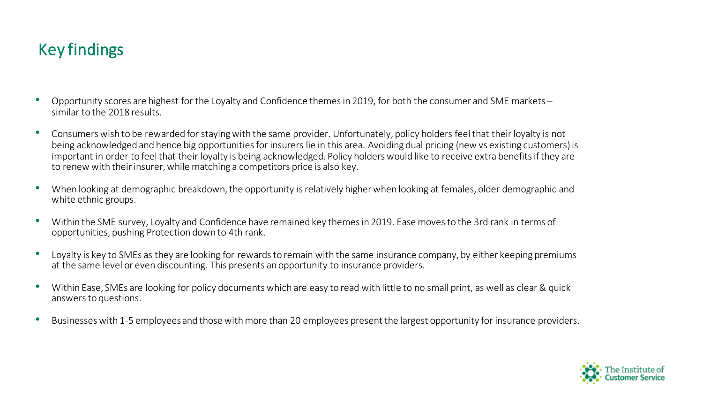#### Key findings

- Opportunity scores are highest for the Loyalty and Confidence themes in 2019, for both the consumer and SME markets similar to the 2018 results.
- Consumers wish to be rewarded for staying with the same provider. Unfortunately, policy holders feel that their loyalty is not being acknowledged and hence big opportunities for insurers lie in this area. Avoiding dual pricing (new vs existing customers) is important in order to feel that their loyalty is being acknowledged. Policy holders would like to receive extra benefits if they are to renew with their insurer, while matching a competitors price is also key.
- When looking at demographic breakdown, the opportunity is relatively higher when looking at females, older demographic and white ethnic groups.
- Within the SME survey, Loyalty and Confidence have remained key themes in 2019. Ease moves to the 3rd rank in terms of opportunities, pushing Protection down to 4th rank.
- Loyalty is key to SMEs as they are looking for rewards to remain with the same insurance company, by either keeping premiums at the same level or even discounting. This presents an opportunity to insurance providers.
- Within Ease, SMEs are looking for policy documents which are easy to read with little to no small print, as well as clear & quick answers to questions.
- Businesses with 1-5 employees and those with more than 20 employees present the largest opportunity for insurance providers.

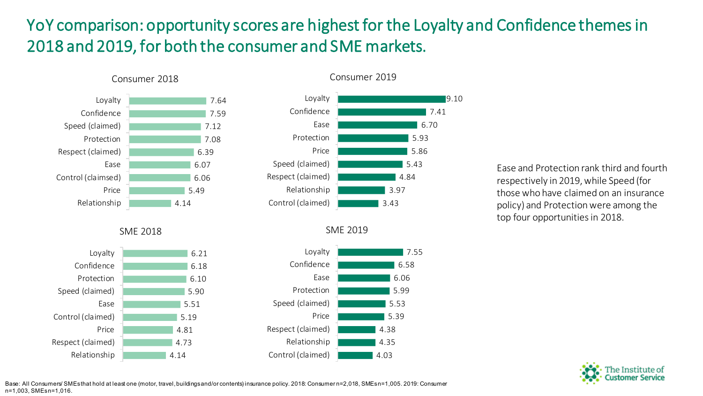# YoY comparison: opportunity scores are highest for the Loyalty and Confidence themes in 2018 and 2019, for both the consumer and SME markets.



SME 2018



#### 9.10 7.41 6.70 5.93 5.86 5.43 4.84 3.97 3.43 Loyalty Confidence Ease Protection Price Speed (claimed) Respect (claimed) Relationship Control (claimed)

Consumer 2019

SME 2019



Ease and Protection rank third and fourth respectively in 2019, while Speed (for those who have claimed on an insurance policy) and Protection were among the top four opportunities in 2018.



Base: All Consumers/ SMEs that hold at least one (motor, travel, buildings and/or contents) insurance policy. 2018: Consumer n=2,018, SMEs n=1,005. 2019: Consumer n=1,003, SMEs n=1,016.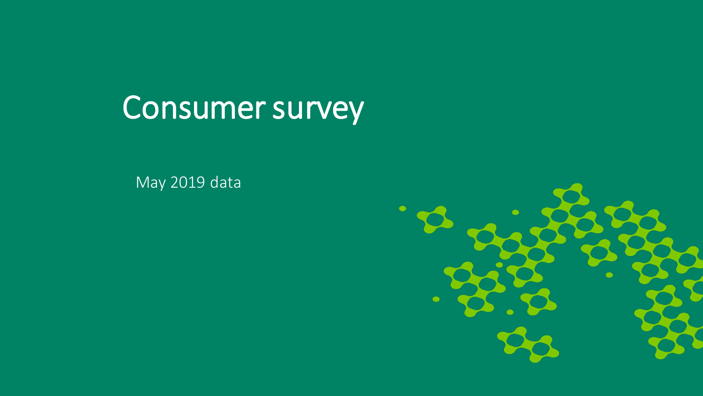# Consumer survey

May 2019 data

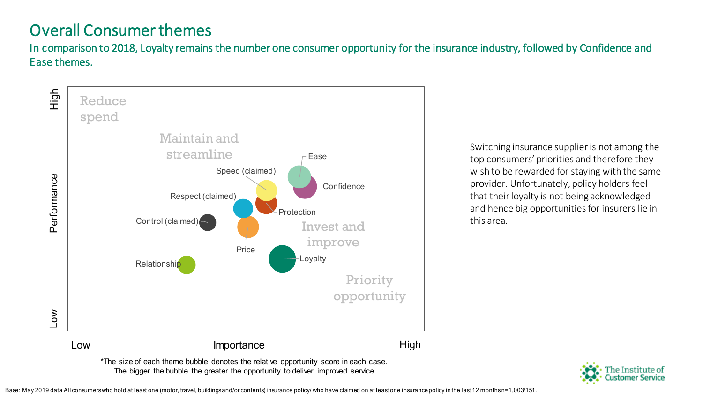#### Overall Consumer themes

In comparison to 2018, Loyalty remains the number one consumer opportunity for the insurance industry, followed by Confidence and Ease themes.



Switching insurance supplier is not among the top consumers' priorities and therefore they wish to be rewarded for staying with the same provider. Unfortunately, policy holders feel that their loyalty is not being acknowledged and hence big opportunities for insurers lie in this area.



Base: May 2019 data All consumers who hold at least one (motor, travel, buildings and/or contents) insurance policy/ who have claimed on at least one insurance policy in the last 12 months n=1,003/151.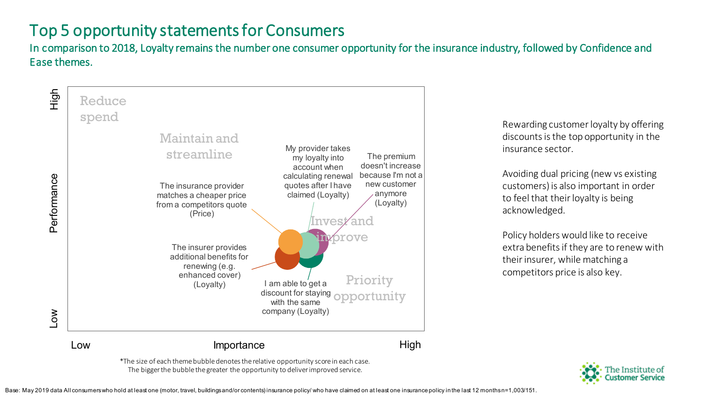#### Top 5 opportunity statements for Consumers

In comparison to 2018, Loyalty remains the number one consumer opportunity for the insurance industry, followed by Confidence and Ease themes.



The bigger the bubble the greater the opportunity to deliver improved service.

Rewarding customer loyalty by offering discounts is the top opportunity in the insurance sector.

Avoiding dual pricing (new vs existing customers) is also important in order to feel that their loyalty is being acknowledged.

Policy holders would like to receive extra benefits if they are to renew with their insurer, while matching a competitors price is also key.



Base: May 2019 data All consumers who hold at least one (motor, travel, buildings and/or contents) insurance policy/ who have claimed on at least one insurance policy in the last 12 months n=1,003/151.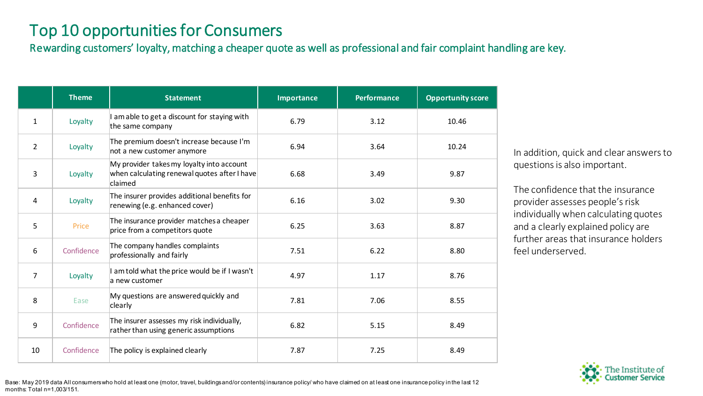#### Top 10 opportunities for Consumers

Rewarding customers' loyalty, matching a cheaper quote as well as professional and fair complaint handling are key.

|                | <b>Theme</b> | <b>Statement</b>                                                                                     | <b>Importance</b> | <b>Performance</b> | <b>Opportunity score</b> |
|----------------|--------------|------------------------------------------------------------------------------------------------------|-------------------|--------------------|--------------------------|
| $\mathbf{1}$   | Loyalty      | I am able to get a discount for staying with<br>the same company                                     | 6.79              | 3.12               | 10.46                    |
| $\overline{2}$ | Loyalty      | The premium doesn't increase because I'm<br>not a new customer anymore                               | 6.94              | 3.64               | 10.24                    |
| 3              | Loyalty      | My provider takes my loyalty into account<br>when calculating renewal quotes after I have<br>claimed | 6.68              | 3.49               | 9.87                     |
| 4              | Loyalty      | The insurer provides additional benefits for<br>renewing (e.g. enhanced cover)                       | 6.16              | 3.02               | 9.30                     |
| 5              | Price        | The insurance provider matches a cheaper<br>price from a competitors quote                           | 6.25              | 3.63               | 8.87                     |
| 6              | Confidence   | The company handles complaints<br>professionally and fairly                                          | 7.51              | 6.22               | 8.80                     |
| $\overline{7}$ | Loyalty      | I am told what the price would be if I wasn't<br>a new customer                                      | 4.97              | 1.17               | 8.76                     |
| 8              | Ease         | My questions are answered quickly and<br>clearly                                                     | 7.81              | 7.06               | 8.55                     |
| 9              | Confidence   | The insurer assesses my risk individually,<br>rather than using generic assumptions                  | 6.82              | 5.15               | 8.49                     |
| 10             | Confidence   | The policy is explained clearly                                                                      | 7.87              | 7.25               | 8.49                     |

In addition, quick and clear answers to questions is also important.

The confidence that the insurance provider assesses people's risk individually when calculating quotes and a clearly explained policy are further areas that insurance holders feel underserved.



Base: May 2019 data All consumers who hold at least one (motor, travel, buildings and/or contents) insurance policy/ who have claimed on at least one insurance policy in the last 12 months: Total n=1,003/151.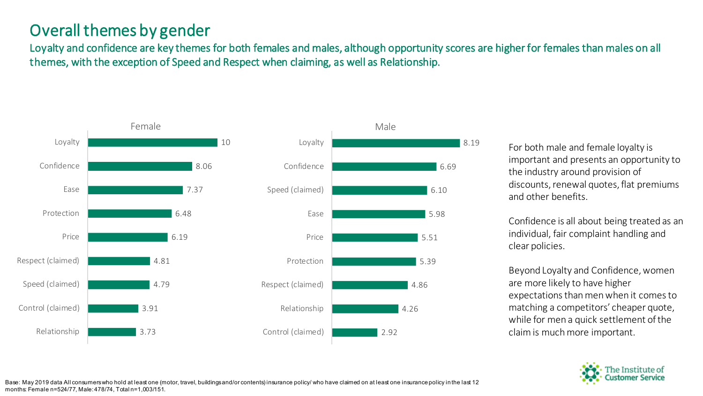#### Overall themes by gender

Loyalty and confidence are key themes for both females and males, although opportunity scores are higher for females than males on all themes, with the exception of Speed and Respect when claiming, as well as Relationship.





For both male and female loyalty is important and presents an opportunity to the industry around provision of discounts, renewal quotes, flat premiums and other benefits.

Confidence is all about being treated as an individual, fair complaint handling and clear policies.

Beyond Loyalty and Confidence, women are more likely to have higher expectations than men when it comes to matching a competitors' cheaper quote, while for men a quick settlement of the claim is much more important.

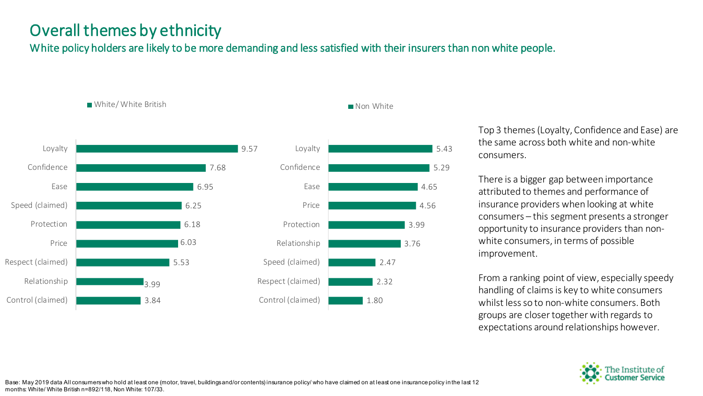#### Overall themes by ethnicity

White/ White British

White policy holders are likely to be more demanding and less satisfied with their insurers than non white people.





Non White

Top 3 themes (Loyalty, Confidence and Ease) are the same across both white and non-white consumers.

There is a bigger gap between importance attributed to themes and performance of insurance providers when looking at white consumers – this segment presents a stronger opportunity to insurance providers than nonwhite consumers, in terms of possible improvement.

From a ranking point of view, especially speedy handling of claims is key to white consumers whilst less so to non-white consumers. Both groups are closer together with regards to expectations around relationships however.

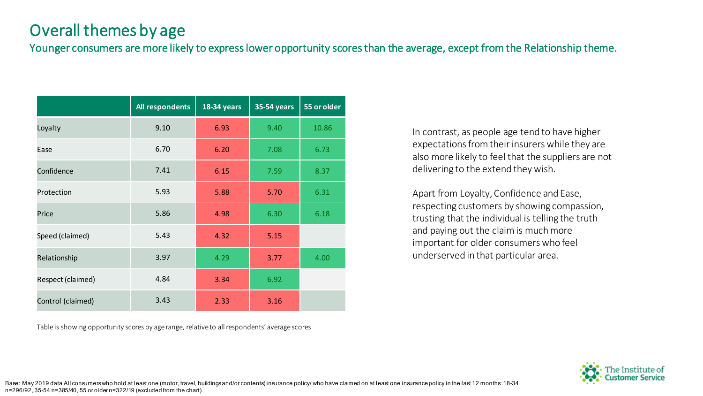#### Overall themes by age

Younger consumers are more likely to express lower opportunity scores than the average, except from the Relationship theme.

|                   | All respondents | <b>18-34 years</b> | <b>35-54 years</b> | 55 or older |
|-------------------|-----------------|--------------------|--------------------|-------------|
| Loyalty           | 9.10            | 6.93               | 9.40               | 10.86       |
| Ease              | 6.70            | 6.20               | 7.08               | 6.73        |
| Confidence        | 7.41            | 6.15               | 7.59               | 8.37        |
| Protection        | 5.93            | 5.88               | 5.70               | 6.31        |
| Price             | 5.86            | 4.98               | 6.30               | 6.18        |
| Speed (claimed)   | 5.43            | 4.32               | 5.15               |             |
| Relationship      | 3.97            | 4.29               | 3.77               | 4.00        |
| Respect (claimed) | 4.84            | 3.34               | 6.92               |             |
| Control (claimed) | 3.43            | 2.33               | 3.16               |             |

Table is showing opportunity scores by age range, relative to all respondents' average scores

In contrast, as people age tend to have higher expectations from their insurers while they are also more likely to feel that the suppliers are not delivering to the extend they wish.

Apart from Loyalty, Confidence and Ease, respecting customers by showing compassion, trusting that the individual is telling the truth and paying out the claim is much more important for older consumers who feel underserved in that particular area.



Base: May 2019 data All consumers who hold at least one (motor, travel, buildings and/or contents) insurance policy/ who have claimed on at least one insurance policy in the last 12 months: 18-34 n=296/92, 35-54 n=385/40, 55 or older n=322/19 (excluded from the chart).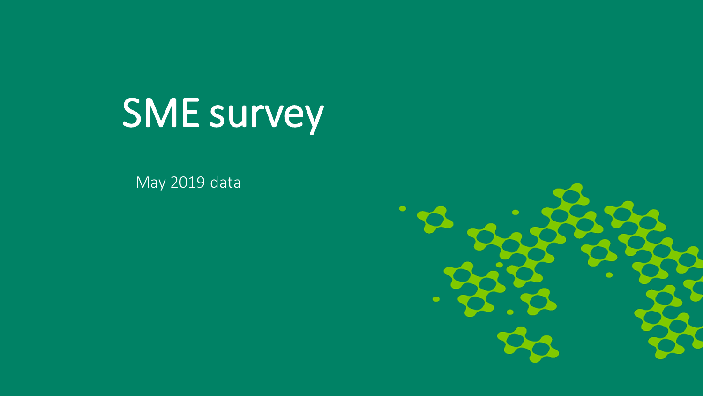# SME survey

May 2019 data

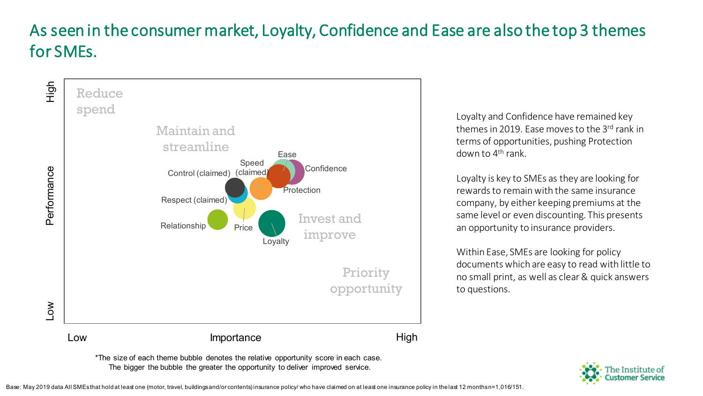# As seen in the consumer market, Loyalty, Confidence and Ease are also the top 3 themes for SMEs.



Loyalty and Confidence have remained key themes in 2019. Ease moves to the 3rd rank in terms of opportunities, pushing Protection down to  $4<sup>th</sup>$  rank.

Loyalty is key to SMEs as they are looking for rewards to remain with the same insurance company, by either keeping premiums at the same level or even discounting. This presents an opportunity to insurance providers.

Within Ease, SMEs are looking for policy documents which are easy to read with little to no small print, as well as clear & quick answers to questions.



\*The size of each theme bubble denotes the relative opportunity score in each case. The bigger the bubble the greater the opportunity to deliver improved service.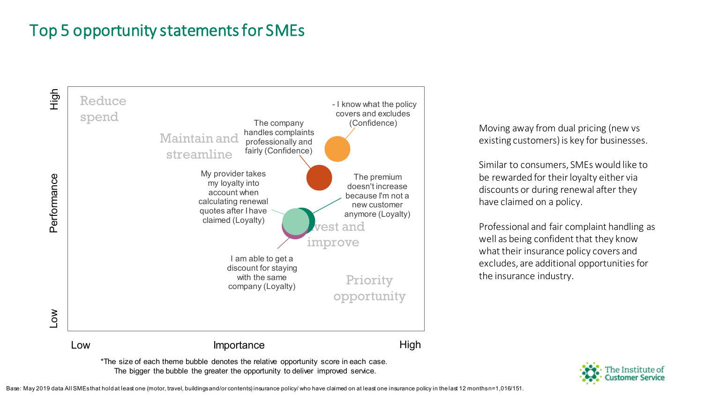#### Top 5 opportunity statements for SMEs



\*The size of each theme bubble denotes the relative opportunity score in each case. The bigger the bubble the greater the opportunity to deliver improved service.

Moving away from dual pricing (new vs existing customers) is key for businesses.

Similar to consumers, SMEs would like to be rewarded for their loyalty either via discounts or during renewal after they have claimed on a policy.

Professional and fair complaint handling as well as being confident that they know what their insurance policy covers and excludes, are additional opportunities for the insurance industry.



Base: May 2019 data All SMEs that hold at least one (motor, travel, buildings and/or contents) insurance policy/ who have claimed on at least one insurance policy in the last 12 months n=1,016/151.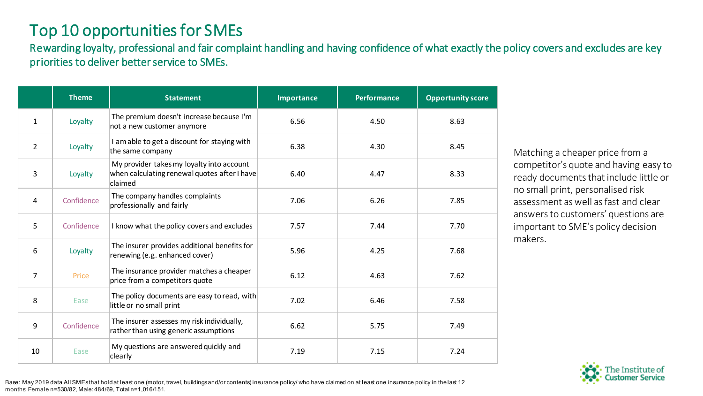#### Top 10 opportunities for SMEs

Rewarding loyalty, professional and fair complaint handling and having confidence of what exactly the policy covers and excludes are key priorities to deliver better service to SMEs.

|                | <b>Theme</b> | <b>Statement</b>                                                                                     | <b>Importance</b> | <b>Performance</b> | <b>Opportunity score</b> |
|----------------|--------------|------------------------------------------------------------------------------------------------------|-------------------|--------------------|--------------------------|
| $\mathbf{1}$   | Loyalty      | The premium doesn't increase because I'm<br>not a new customer anymore                               | 6.56              | 4.50               | 8.63                     |
| $\overline{2}$ | Loyalty      | I am able to get a discount for staying with<br>the same company                                     | 6.38              | 4.30               | 8.45                     |
| 3              | Loyalty      | My provider takes my loyalty into account<br>when calculating renewal quotes after I have<br>claimed | 6.40              | 4.47               | 8.33                     |
| 4              | Confidence   | The company handles complaints<br>professionally and fairly                                          | 7.06              | 6.26               | 7.85                     |
| 5              | Confidence   | I know what the policy covers and excludes                                                           | 7.57              | 7.44               | 7.70                     |
| 6              | Loyalty      | The insurer provides additional benefits for<br>renewing (e.g. enhanced cover)                       | 5.96              | 4.25               | 7.68                     |
| $\overline{7}$ | Price        | The insurance provider matches a cheaper<br>price from a competitors quote                           | 6.12              | 4.63               | 7.62                     |
| 8              | Ease         | The policy documents are easy to read, with<br>little or no small print                              | 7.02              | 6.46               | 7.58                     |
| 9              | Confidence   | The insurer assesses my risk individually,<br>rather than using generic assumptions                  | 6.62              | 5.75               | 7.49                     |
| 10             | Ease         | My questions are answered quickly and<br>clearly                                                     | 7.19              | 7.15               | 7.24                     |

Matching a cheaper price from a competitor's quote and having easy to ready documents that include little or no small print, personalised risk assessment as well as fast and clear answers to customers' questions are important to SME's policy decision makers.



Base: May 2019 data All SMEs that hold at least one (motor, travel, buildings and/or contents) insurance policy/ who have claimed on at least one insurance policy in the last 12 months: Female n=530/82, Male: 484/69, Total n=1,016/151.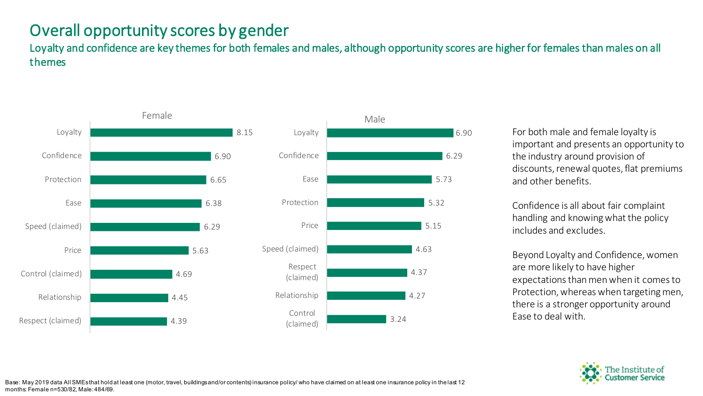#### Overall opportunity scores by gender

Loyalty and confidence are key themes for both females and males, although opportunity scores are higher for females than males on all themes





For both male and female loyalty is important and presents an opportunity to the industry around provision of discounts, renewal quotes, flat premiums and other benefits.

Confidence is all about fair complaint handling and knowing what the policy includes and excludes.

Beyond Loyalty and Confidence, women are more likely to have higher expectations than men when it comes to Protection, whereas when targeting men, there is a stronger opportunity around Ease to deal with.

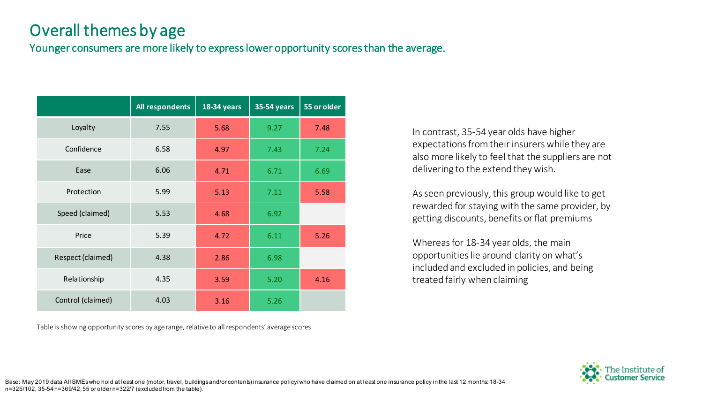#### Overall themes by age

Younger consumers are more likely to express lower opportunity scores than the average.

|                   | All respondents | 18-34 years | <b>35-54 years</b> | 55 or older |
|-------------------|-----------------|-------------|--------------------|-------------|
| Loyalty           | 7.55            | 5.68        | 9.27               | 7.48        |
| Confidence        | 6.58            | 4.97        | 7.43               | 7.24        |
| Ease              | 6.06            | 4.71        | 6.71               | 6.69        |
| Protection        | 5.99            | 5.13        | 7.11               | 5.58        |
| Speed (claimed)   | 5.53            | 4.68        | 6.92               |             |
| Price             | 5.39            | 4.72        | 6.11               | 5.26        |
| Respect (claimed) | 4.38            | 2.86        | 6.98               |             |
| Relationship      | 4.35            | 3.59        | 5.20               | 4.16        |
| Control (claimed) | 4.03            | 3.16        | 5.26               |             |

Table is showing opportunity scores by age range, relative to all respondents' average scores

In contrast, 35-54 year olds have higher expectations from their insurers while they are also more likely to feel that the suppliers are not delivering to the extend they wish.

As seen previously, this group would like to get rewarded for staying with the same provider, by getting discounts, benefits or flat premiums

Whereas for 18-34 year olds, the main opportunities lie around clarity on what's included and excluded in policies, and being treated fairly when claiming



Base: May 2019 data All SMEs who hold at least one (motor, travel, buildings and/or contents) insurance policy/ who have claimed on at least one insurance policy in the last 12 months: 18-34 n=325/102, 35-54 n=369/42, 55 or older n=322/7 (excluded from the table).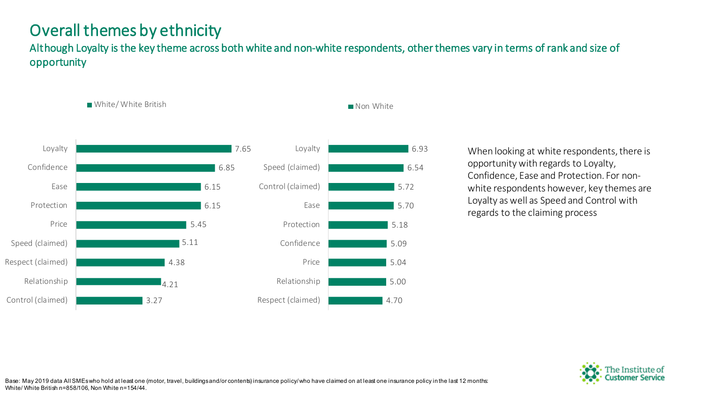#### Overall themes by ethnicity

White/ White British

Although Loyalty is the key theme across both white and non-white respondents, other themes vary in terms of rank and size of opportunity





Non White

When looking at white respondents, there is opportunity with regards to Loyalty, Confidence, Ease and Protection. For nonwhite respondents however, key themes are Loyalty as well as Speed and Control with regards to the claiming process

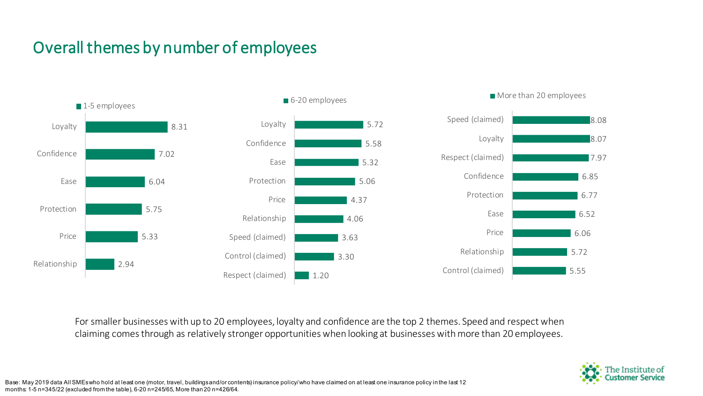# Overall themes by number of employees



For smaller businesses with up to 20 employees, loyalty and confidence are the top 2 themes. Speed and respect when claiming comes through as relatively stronger opportunities when looking at businesses with more than 20 employees.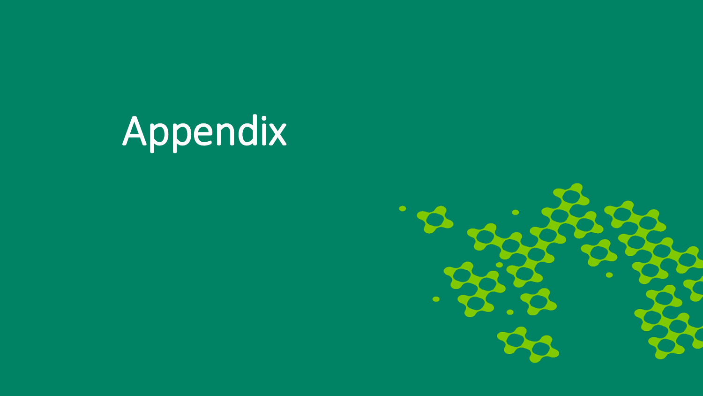# Appendix

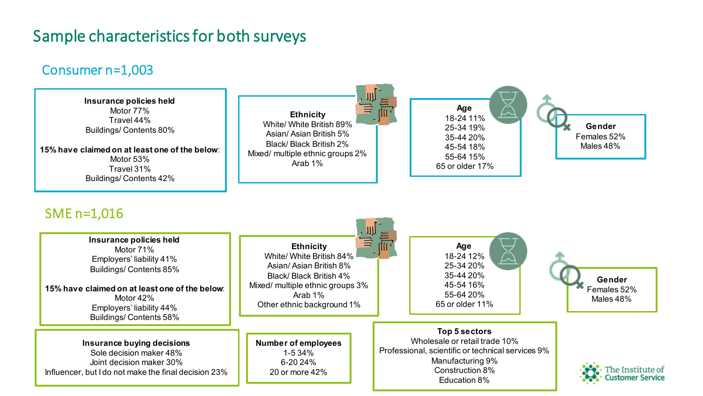#### Sample characteristics for both surveys

#### Consumer n=1,003

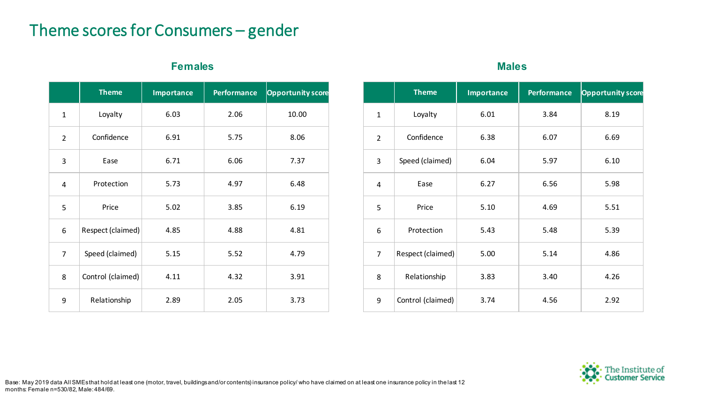#### Theme scores for Consumers – gender

#### **Females Males**

|                | <b>Theme</b>              | <b>Importance</b> | <b>Performance</b> | <b>Opportunity score</b> |
|----------------|---------------------------|-------------------|--------------------|--------------------------|
| $\mathbf{1}$   | Loyalty                   | 6.03              | 2.06               | 10.00                    |
| $\overline{2}$ | Confidence                | 6.91              | 5.75               | 8.06                     |
| 3              | Ease                      | 6.71              | 6.06               | 7.37                     |
| 4              | Protection<br>5.73        |                   | 4.97               | 6.48                     |
| 5              | Price                     | 5.02              |                    | 6.19                     |
| 6              | Respect (claimed)         | 4.85              | 4.88               | 4.81                     |
| $\overline{7}$ | Speed (claimed)           | 5.15              | 5.52               | 4.79                     |
| 8              | Control (claimed)<br>4.11 |                   | 4.32               | 3.91                     |
| 9              | Relationship              | 2.89              | 2.05               | 3.73                     |

|                | <b>Theme</b>            | <b>Importance</b> | <b>Performance</b> | <b>Opportunity score</b> |
|----------------|-------------------------|-------------------|--------------------|--------------------------|
| $\mathbf{1}$   | Loyalty                 | 6.01              | 3.84               | 8.19                     |
| $\overline{2}$ | Confidence              | 6.38              | 6.07               | 6.69                     |
| 3              | Speed (claimed)<br>6.04 |                   | 5.97               | 6.10                     |
| 4              | 6.27<br>Ease            |                   | 6.56               | 5.98                     |
| 5              | 5.10<br>Price           |                   | 4.69               | 5.51                     |
| 6              | Protection              | 5.43              | 5.48               | 5.39                     |
| $\overline{7}$ | Respect (claimed)       | 5.00              | 5.14               | 4.86                     |
| 8              | Relationship            | 3.83              | 3.40               | 4.26                     |
| 9              | Control (claimed)       | 3.74              | 4.56               | 2.92                     |

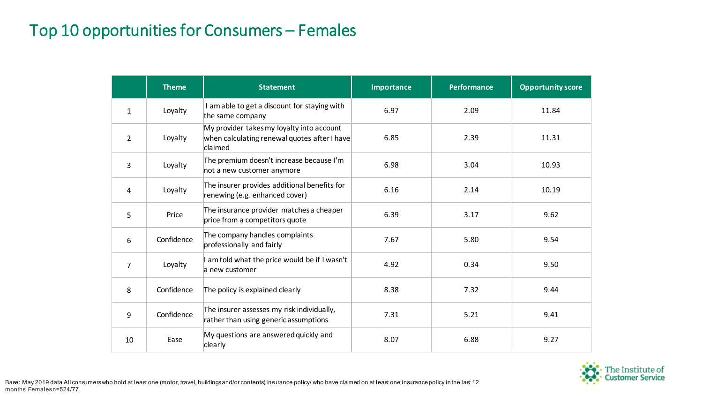#### Top 10 opportunities for Consumers – Females

|                | <b>Theme</b> | <b>Statement</b>                                                                                     | <b>Importance</b> | <b>Performance</b> | <b>Opportunity score</b> |
|----------------|--------------|------------------------------------------------------------------------------------------------------|-------------------|--------------------|--------------------------|
| $\mathbf{1}$   | Loyalty      | I am able to get a discount for staying with<br>the same company                                     | 6.97              | 2.09               | 11.84                    |
| $\overline{2}$ | Loyalty      | My provider takes my loyalty into account<br>when calculating renewal quotes after I have<br>claimed | 6.85              | 2.39               | 11.31                    |
| 3              | Loyalty      | The premium doesn't increase because I'm<br>not a new customer anymore                               | 6.98              | 3.04               | 10.93                    |
| 4              | Loyalty      | The insurer provides additional benefits for<br>renewing (e.g. enhanced cover)                       | 6.16              | 2.14               | 10.19                    |
| 5              | Price        | The insurance provider matches a cheaper<br>price from a competitors quote                           | 6.39              | 3.17               | 9.62                     |
| 6              | Confidence   | The company handles complaints<br>professionally and fairly                                          | 7.67              | 5.80               | 9.54                     |
| 7              | Loyalty      | I am told what the price would be if I wasn't<br>a new customer                                      | 4.92              | 0.34               | 9.50                     |
| 8              | Confidence   | The policy is explained clearly                                                                      | 8.38              | 7.32               | 9.44                     |
| 9              | Confidence   | The insurer assesses my risk individually,<br>rather than using generic assumptions                  | 7.31              | 5.21               | 9.41                     |
| 10             | Ease         | My questions are answered quickly and<br>clearly                                                     | 8.07              | 6.88               | 9.27                     |

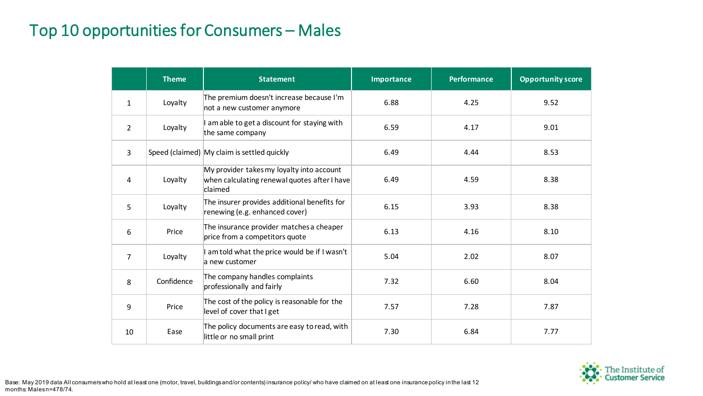#### Top 10 opportunities for Consumers – Males

|                | <b>Theme</b> | <b>Statement</b>                                                                                     | Importance | <b>Performance</b> | <b>Opportunity score</b> |
|----------------|--------------|------------------------------------------------------------------------------------------------------|------------|--------------------|--------------------------|
| $\mathbf{1}$   | Loyalty      | The premium doesn't increase because I'm<br>not a new customer anymore                               | 6.88       | 4.25               | 9.52                     |
| $\overline{2}$ | Loyalty      | I am able to get a discount for staying with<br>the same company                                     | 6.59       | 4.17               | 9.01                     |
| $\overline{3}$ |              | Speed (claimed) My claim is settled quickly                                                          | 6.49       | 4.44               | 8.53                     |
| 4              | Loyalty      | My provider takes my loyalty into account<br>when calculating renewal quotes after I have<br>claimed | 6.49       | 4.59               | 8.38                     |
| 5              | Loyalty      | The insurer provides additional benefits for<br>renewing (e.g. enhanced cover)                       | 6.15       | 3.93               | 8.38                     |
| 6              | Price        | The insurance provider matches a cheaper<br>price from a competitors quote                           | 6.13       | 4.16               | 8.10                     |
| $\overline{7}$ | Loyalty      | I am told what the price would be if I wasn't<br>a new customer                                      | 5.04       | 2.02               | 8.07                     |
| 8              | Confidence   | The company handles complaints<br>professionally and fairly                                          | 7.32       | 6.60               | 8.04                     |
| 9              | Price        | The cost of the policy is reasonable for the<br>level of cover that I get                            | 7.57       | 7.28               | 7.87                     |
| 10             | Ease         | The policy documents are easy to read, with<br>little or no small print                              | 7.30       | 6.84               | 7.77                     |

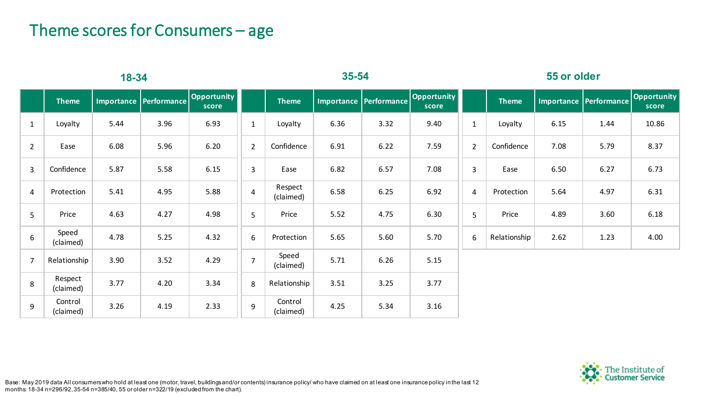#### Theme scores for Consumers – age

| 18-34          |                      |      |                          | $35 - 54$            |                |                      |                   | 55 or older        |                      |                  |              |      |                          |                      |
|----------------|----------------------|------|--------------------------|----------------------|----------------|----------------------|-------------------|--------------------|----------------------|------------------|--------------|------|--------------------------|----------------------|
|                | <b>Theme</b>         |      | Importance   Performance | Opportunity<br>score |                | <b>Theme</b>         | <b>Importance</b> | <b>Performance</b> | Opportunity<br>score |                  | <b>Theme</b> |      | Importance   Performance | Opportunity<br>score |
| $\mathbf{1}$   | Loyalty              | 5.44 | 3.96                     | 6.93                 | $\mathbf{1}$   | Loyalty              | 6.36              | 3.32               | 9.40                 | $\mathbf{1}$     | Loyalty      | 6.15 | 1.44                     | 10.86                |
| $\overline{2}$ | Ease                 | 6.08 | 5.96                     | 6.20                 | $2^{\circ}$    | Confidence           | 6.91              | 6.22               | 7.59                 | $\overline{2}$   | Confidence   | 7.08 | 5.79                     | 8.37                 |
| $\mathbf{3}$   | Confidence           | 5.87 | 5.58                     | 6.15                 | $\overline{3}$ | Ease                 | 6.82              | 6.57               | 7.08                 | 3                | Ease         | 6.50 | 6.27                     | 6.73                 |
| $\overline{4}$ | Protection           | 5.41 | 4.95                     | 5.88                 | $\overline{4}$ | Respect<br>(claimed) | 6.58              | 6.25               | 6.92                 | $\overline{4}$   | Protection   | 5.64 | 4.97                     | 6.31                 |
| 5 <sup>1</sup> | Price                | 4.63 | 4.27                     | 4.98                 | 5              | Price                | 5.52              | 4.75               | 6.30                 | 5                | Price        | 4.89 | 3.60                     | 6.18                 |
| 6              | Speed<br>(claimed)   | 4.78 | 5.25                     | 4.32                 | 6              | Protection           | 5.65              | 5.60               | 5.70                 | $\boldsymbol{6}$ | Relationship | 2.62 | 1.23                     | 4.00                 |
| $\overline{7}$ | Relationship         | 3.90 | 3.52                     | 4.29                 | $\overline{7}$ | Speed<br>(claimed)   | 5.71              | 6.26               | 5.15                 |                  |              |      |                          |                      |
| 8              | Respect<br>(claimed) | 3.77 | 4.20                     | 3.34                 | 8              | Relationship         | 3.51              | 3.25               | 3.77                 |                  |              |      |                          |                      |
| 9              | Control<br>(claimed) | 3.26 | 4.19                     | 2.33                 | 9              | Control<br>(claimed) | 4.25              | 5.34               | 3.16                 |                  |              |      |                          |                      |



Base: May 2019 data All consumers who hold at least one (motor, travel, buildings and/or contents) insurance policy/ who have claimed on at least one insurance policy in the last 12 months: 18-34 n=296/92, 35-54 n=385/40, 55 or older n=322/19 (excluded from the chart).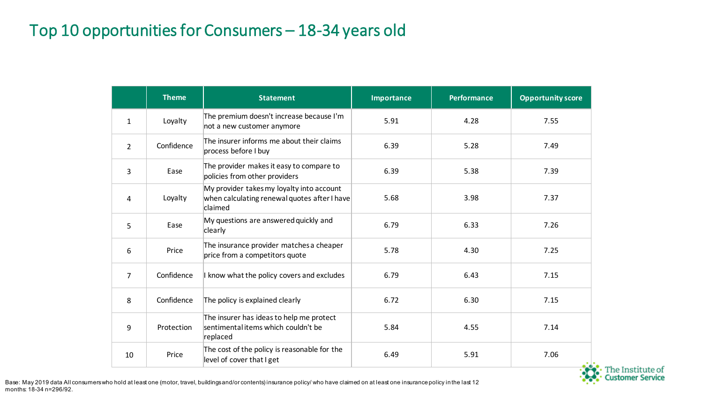## Top 10 opportunities for Consumers – 18-34 years old

|                | <b>Theme</b> | <b>Statement</b>                                                                                     | <b>Importance</b> | <b>Performance</b> | <b>Opportunity score</b> |
|----------------|--------------|------------------------------------------------------------------------------------------------------|-------------------|--------------------|--------------------------|
| $\mathbf{1}$   | Loyalty      | The premium doesn't increase because I'm<br>not a new customer anymore                               | 5.91              | 4.28               | 7.55                     |
| $\overline{2}$ | Confidence   | The insurer informs me about their claims<br>process before I buy                                    | 6.39              | 5.28               | 7.49                     |
| 3              | Ease         | The provider makes it easy to compare to<br>policies from other providers                            | 6.39              | 5.38               | 7.39                     |
| 4              | Loyalty      | My provider takes my loyalty into account<br>when calculating renewal quotes after I have<br>claimed | 5.68              | 3.98               | 7.37                     |
| 5              | Ease         | My questions are answered quickly and<br>clearly                                                     | 6.79              | 6.33               | 7.26                     |
| 6              | Price        | The insurance provider matches a cheaper<br>price from a competitors quote                           | 5.78              | 4.30               | 7.25                     |
| 7              | Confidence   | I know what the policy covers and excludes                                                           | 6.79              | 6.43               | 7.15                     |
| 8              | Confidence   | The policy is explained clearly                                                                      | 6.72              | 6.30               | 7.15                     |
| 9              | Protection   | The insurer has ideas to help me protect<br>sentimental items which couldn't be<br>replaced          | 5.84              | 4.55               | 7.14                     |
| 10             | Price        | The cost of the policy is reasonable for the<br>level of cover that I get                            | 6.49              | 5.91               | 7.06                     |



Base: May 2019 data All consumers who hold at least one (motor, travel, buildings and/or contents) insurance policy/ who have claimed on at least one insurance policy in the last 12 months: 18-34 n=296/92.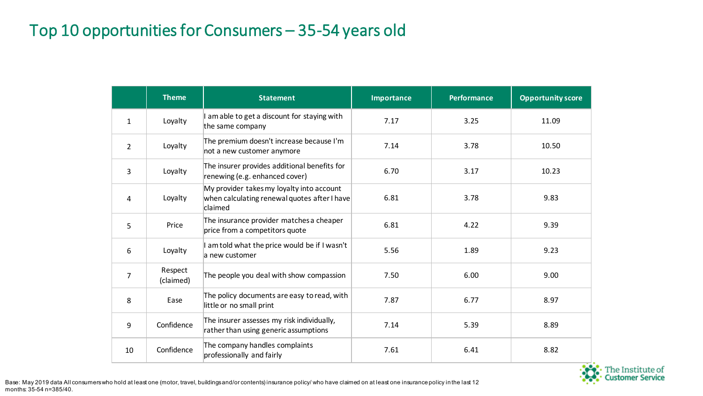## Top 10 opportunities for Consumers – 35-54 years old

|                | <b>Theme</b>         | <b>Statement</b>                                                                                     | <b>Importance</b> | <b>Performance</b> | <b>Opportunity score</b> |
|----------------|----------------------|------------------------------------------------------------------------------------------------------|-------------------|--------------------|--------------------------|
| $\mathbf{1}$   | Loyalty              | am able to get a discount for staying with<br>the same company                                       | 7.17              | 3.25               | 11.09                    |
| $\overline{2}$ | Loyalty              | The premium doesn't increase because I'm<br>not a new customer anymore                               | 7.14              | 3.78               | 10.50                    |
| 3              | Loyalty              | The insurer provides additional benefits for<br>renewing (e.g. enhanced cover)                       | 6.70              | 3.17               | 10.23                    |
| 4              | Loyalty              | My provider takes my loyalty into account<br>when calculating renewal quotes after I have<br>claimed | 6.81              | 3.78               | 9.83                     |
| 5              | Price                | The insurance provider matches a cheaper<br>price from a competitors quote                           | 6.81              | 4.22               | 9.39                     |
| 6              | Loyalty              | am told what the price would be if I wasn't<br>a new customer                                        | 5.56              | 1.89               | 9.23                     |
| 7              | Respect<br>(claimed) | The people you deal with show compassion                                                             | 7.50              | 6.00               | 9.00                     |
| 8              | Ease                 | The policy documents are easy to read, with<br>little or no small print                              | 7.87              | 6.77               | 8.97                     |
| 9              | Confidence           | The insurer assesses my risk individually,<br>rather than using generic assumptions                  | 7.14              | 5.39               | 8.89                     |
| 10             | Confidence           | The company handles complaints<br>professionally and fairly                                          | 7.61              | 6.41               | 8.82                     |

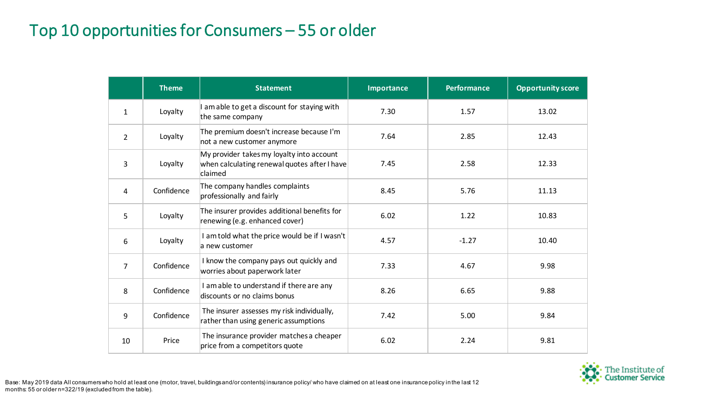#### Top 10 opportunities for Consumers – 55 or older

|                | <b>Theme</b> | <b>Statement</b>                                                                                     | Importance | <b>Performance</b> | <b>Opportunity score</b> |
|----------------|--------------|------------------------------------------------------------------------------------------------------|------------|--------------------|--------------------------|
| $\mathbf{1}$   | Loyalty      | I am able to get a discount for staying with<br>the same company                                     | 7.30       | 1.57               | 13.02                    |
| $\overline{2}$ | Loyalty      | The premium doesn't increase because I'm<br>not a new customer anymore                               | 7.64       | 2.85               | 12.43                    |
| 3              | Loyalty      | My provider takes my loyalty into account<br>when calculating renewal quotes after I have<br>claimed | 7.45       | 2.58               | 12.33                    |
| 4              | Confidence   | The company handles complaints<br>professionally and fairly                                          | 8.45       | 5.76               | 11.13                    |
| 5              | Loyalty      | The insurer provides additional benefits for<br>renewing (e.g. enhanced cover)                       | 6.02       | 1.22               | 10.83                    |
| 6              | Loyalty      | I am told what the price would be if I wasn't<br>a new customer                                      | 4.57       | $-1.27$            | 10.40                    |
| $\overline{7}$ | Confidence   | I know the company pays out quickly and<br>worries about paperwork later                             | 7.33       | 4.67               | 9.98                     |
| 8              | Confidence   | I am able to understand if there are any<br>discounts or no claims bonus                             | 8.26       | 6.65               | 9.88                     |
| 9              | Confidence   | The insurer assesses my risk individually,<br>rather than using generic assumptions                  | 7.42       | 5.00               | 9.84                     |
| 10             | Price        | The insurance provider matches a cheaper<br>price from a competitors quote                           | 6.02       | 2.24               | 9.81                     |

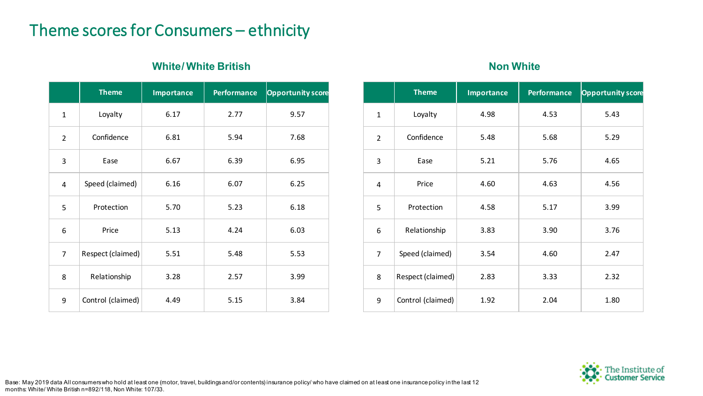#### Theme scores for Consumers – ethnicity

#### **White/White British <b>Non White Non White**

|                | <b>Theme</b>      | <b>Importance</b> | <b>Performance</b> | <b>Opportunity score</b> |
|----------------|-------------------|-------------------|--------------------|--------------------------|
| $\mathbf{1}$   | Loyalty           | 6.17              | 2.77               | 9.57                     |
| $\overline{2}$ | Confidence        | 6.81              | 5.94               | 7.68                     |
| 3              | Ease              | 6.67              | 6.39               | 6.95                     |
| 4              | Speed (claimed)   | 6.16              | 6.07               | 6.25                     |
| 5              | Protection        | 5.70              | 5.23               | 6.18                     |
| 6              | Price             | 5.13              | 4.24               | 6.03                     |
| $\overline{7}$ | Respect (claimed) | 5.51              | 5.48               | 5.53                     |
| 8              | Relationship      | 3.28              | 2.57               | 3.99                     |
| 9              | Control (claimed) | 4.49              | 5.15               | 3.84                     |

|                | <b>Theme</b>      | <b>Importance</b> | <b>Performance</b> | <b>Opportunity score</b> |
|----------------|-------------------|-------------------|--------------------|--------------------------|
| $\mathbf{1}$   | Loyalty           | 4.98              | 4.53               | 5.43                     |
| $\overline{2}$ | Confidence        | 5.48              | 5.68               | 5.29                     |
| 3              | Ease              | 5.21              | 5.76               | 4.65                     |
| $\overline{4}$ | Price             | 4.60              | 4.63               | 4.56                     |
| 5              | Protection        | 4.58              | 5.17               | 3.99                     |
| 6              | Relationship      | 3.83              | 3.90               | 3.76                     |
| 7              | Speed (claimed)   | 3.54              | 4.60               | 2.47                     |
| 8              | Respect (claimed) | 2.83              | 3.33               | 2.32                     |
| 9              | Control (claimed) | 1.92              | 2.04               | 1.80                     |

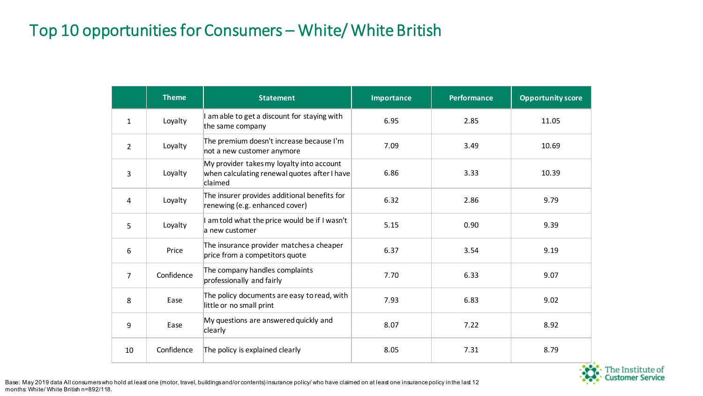#### Top 10 opportunities for Consumers – White/ White British

|                | <b>Theme</b> | <b>Statement</b>                                                                                     | <b>Importance</b> | <b>Performance</b> | <b>Opportunity score</b> |
|----------------|--------------|------------------------------------------------------------------------------------------------------|-------------------|--------------------|--------------------------|
| $\mathbf{1}$   | Loyalty      | I am able to get a discount for staying with<br>the same company                                     | 6.95              | 2.85               | 11.05                    |
| $\overline{2}$ | Loyalty      | The premium doesn't increase because I'm<br>not a new customer anymore                               | 7.09              | 3.49               | 10.69                    |
| 3              | Loyalty      | My provider takes my loyalty into account<br>when calculating renewal quotes after I have<br>claimed | 6.86              | 3.33               | 10.39                    |
| 4              | Loyalty      | The insurer provides additional benefits for<br>renewing (e.g. enhanced cover)                       | 6.32              | 2.86               | 9.79                     |
| 5              | Loyalty      | I am told what the price would be if I wasn't<br>a new customer                                      | 5.15              | 0.90               | 9.39                     |
| 6              | Price        | The insurance provider matches a cheaper<br>price from a competitors quote                           | 6.37              | 3.54               | 9.19                     |
| 7              | Confidence   | The company handles complaints<br>professionally and fairly                                          | 7.70              | 6.33               | 9.07                     |
| 8              | Ease         | The policy documents are easy to read, with<br>little or no small print                              | 7.93              | 6.83               | 9.02                     |
| 9              | Ease         | My questions are answered quickly and<br>clearly                                                     | 8.07              | 7.22               | 8.92                     |
| 10             | Confidence   | The policy is explained clearly                                                                      | 8.05              | 7.31               | 8.79                     |



Base: May 2019 data All consumers who hold at least one (motor, travel, buildings and/or contents) insurance policy/ who have claimed on at least one insurance policy in the last 12 months: White/ White British n=892/118.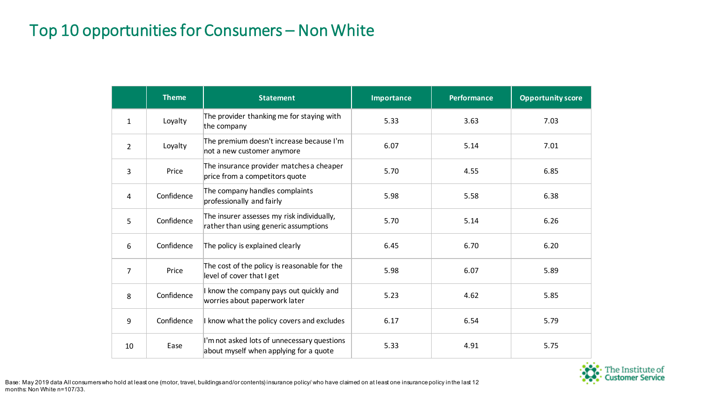#### Top 10 opportunities for Consumers – Non White

|                | <b>Theme</b> | <b>Statement</b>                                                                      | <b>Importance</b> | <b>Performance</b> | <b>Opportunity score</b> |
|----------------|--------------|---------------------------------------------------------------------------------------|-------------------|--------------------|--------------------------|
| $\mathbf{1}$   | Loyalty      | The provider thanking me for staying with<br>the company                              | 5.33              | 3.63               | 7.03                     |
| $\overline{2}$ | Loyalty      | The premium doesn't increase because I'm<br>not a new customer anymore                | 6.07              | 5.14               | 7.01                     |
| 3              | Price        | The insurance provider matches a cheaper<br>price from a competitors quote            | 5.70              | 4.55               | 6.85                     |
| 4              | Confidence   | The company handles complaints<br>professionally and fairly                           | 5.98              | 5.58               | 6.38                     |
| 5              | Confidence   | The insurer assesses my risk individually,<br>rather than using generic assumptions   | 5.70              | 5.14               | 6.26                     |
| 6              | Confidence   | The policy is explained clearly                                                       | 6.45              | 6.70               | 6.20                     |
| $\overline{7}$ | Price        | The cost of the policy is reasonable for the<br>level of cover that I get             | 5.98              | 6.07               | 5.89                     |
| 8              | Confidence   | I know the company pays out quickly and<br>worries about paperwork later              | 5.23              | 4.62               | 5.85                     |
| 9              | Confidence   | I know what the policy covers and excludes                                            | 6.17              | 6.54               | 5.79                     |
| 10             | Ease         | I'm not asked lots of unnecessary questions<br>about myself when applying for a quote | 5.33              | 4.91               | 5.75                     |

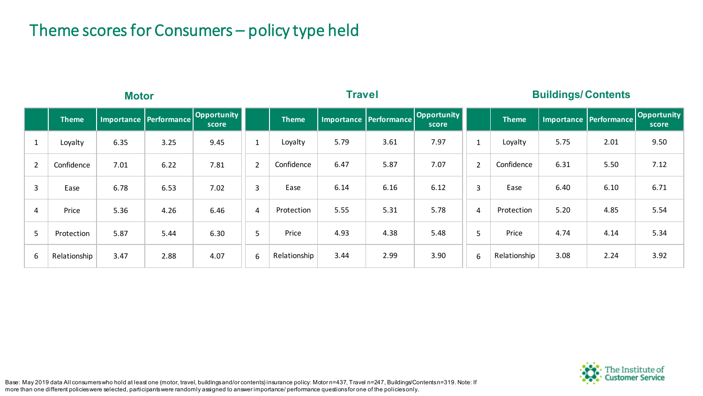#### Theme scores for Consumers – policy type held

|                | <b>Motor</b> |      |                        |                             | Travel         |              |      |                          | <b>Buildings/Contents</b>   |                |              |      |                          |                      |
|----------------|--------------|------|------------------------|-----------------------------|----------------|--------------|------|--------------------------|-----------------------------|----------------|--------------|------|--------------------------|----------------------|
|                | <b>Theme</b> |      | Importance Performance | <b>Opportunity</b><br>score |                | <b>Theme</b> |      | Importance   Performance | <b>Opportunity</b><br>score |                | <b>Theme</b> |      | Importance   Performance | Opportunity<br>score |
|                | Loyalty      | 6.35 | 3.25                   | 9.45                        | $\mathbf{1}$   | Loyalty      | 5.79 | 3.61                     | 7.97                        | $\mathbf 1$    | Loyalty      | 5.75 | 2.01                     | 9.50                 |
| $\overline{2}$ | Confidence   | 7.01 | 6.22                   | 7.81                        | $\overline{2}$ | Confidence   | 6.47 | 5.87                     | 7.07                        | $\overline{2}$ | Confidence   | 6.31 | 5.50                     | 7.12                 |
| 3              | Ease         | 6.78 | 6.53                   | 7.02                        | $\mathbf{3}$   | Ease         | 6.14 | 6.16                     | 6.12                        | 3              | Ease         | 6.40 | 6.10                     | 6.71                 |
| 4              | Price        | 5.36 | 4.26                   | 6.46                        | 4              | Protection   | 5.55 | 5.31                     | 5.78                        | 4              | Protection   | 5.20 | 4.85                     | 5.54                 |
| 5              | Protection   | 5.87 | 5.44                   | 6.30                        | 5              | Price        | 4.93 | 4.38                     | 5.48                        | 5              | Price        | 4.74 | 4.14                     | 5.34                 |
| 6              | Relationship | 3.47 | 2.88                   | 4.07                        | 6              | Relationship | 3.44 | 2.99                     | 3.90                        | 6              | Relationship | 3.08 | 2.24                     | 3.92                 |

: Institute of<br>t**omer Service** 

Base: May 2019 data All consumers who hold at least one (motor, travel, buildings and/or contents) insurance policy: Motor n=437, Travel n=247, Buildings/Contents n=319. Note: If more than one different policies were selected, participants were randomly assigned to answer importance/ performance questions for one of the policies only.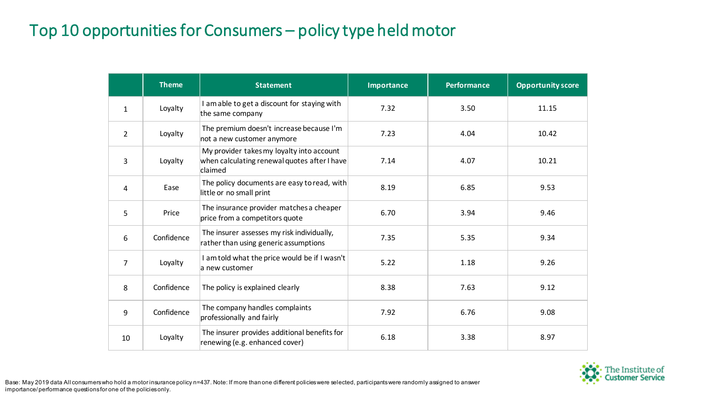## Top 10 opportunities for Consumers – policy type held motor

|                | <b>Theme</b> | <b>Statement</b>                                                                                     | Importance | <b>Performance</b> | <b>Opportunity score</b> |
|----------------|--------------|------------------------------------------------------------------------------------------------------|------------|--------------------|--------------------------|
| $\mathbf{1}$   | Loyalty      | I am able to get a discount for staying with<br>the same company                                     | 7.32       | 3.50               | 11.15                    |
| $\overline{2}$ | Loyalty      | The premium doesn't increase because I'm<br>not a new customer anymore                               | 7.23       | 4.04               | 10.42                    |
| 3              | Loyalty      | My provider takes my loyalty into account<br>when calculating renewal quotes after I have<br>claimed | 7.14       | 4.07               | 10.21                    |
| 4              | Ease         | The policy documents are easy to read, with<br>little or no small print                              | 8.19       | 6.85               | 9.53                     |
| 5              | Price        | The insurance provider matches a cheaper<br>price from a competitors quote                           | 6.70       | 3.94               | 9.46                     |
| 6              | Confidence   | The insurer assesses my risk individually,<br>rather than using generic assumptions                  | 7.35       | 5.35               | 9.34                     |
| $\overline{7}$ | Loyalty      | I am told what the price would be if I wasn't<br>a new customer                                      | 5.22       | 1.18               | 9.26                     |
| 8              | Confidence   | The policy is explained clearly                                                                      | 8.38       | 7.63               | 9.12                     |
| 9              | Confidence   | The company handles complaints<br>professionally and fairly                                          | 7.92       | 6.76               | 9.08                     |
| 10             | Loyalty      | The insurer provides additional benefits for<br>renewing (e.g. enhanced cover)                       | 6.18       | 3.38               | 8.97                     |



Base: May 2019 data All consumers who hold a motor insurance policy n=437. Note: If more than one different policies were selected, participants were randomly assigned to answer importance/ performance questions for one of the policies only.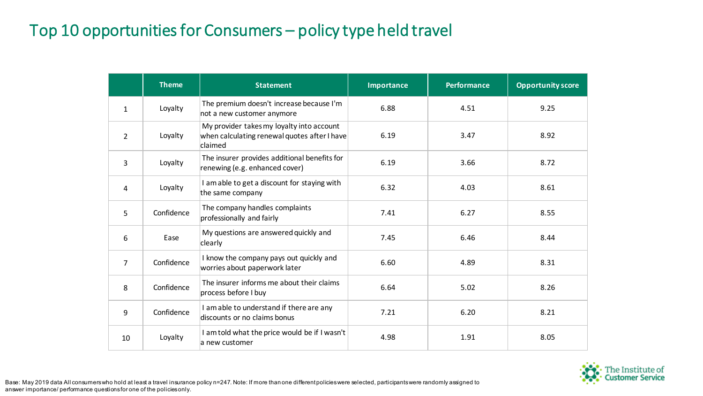## Top 10 opportunities for Consumers – policy type held travel

|                | <b>Theme</b> | <b>Statement</b>                                                                                     | <b>Importance</b> | <b>Performance</b> | <b>Opportunity score</b> |
|----------------|--------------|------------------------------------------------------------------------------------------------------|-------------------|--------------------|--------------------------|
| $\mathbf{1}$   | Loyalty      | The premium doesn't increase because I'm<br>not a new customer anymore                               | 6.88              | 4.51               | 9.25                     |
| 2              | Loyalty      | My provider takes my loyalty into account<br>when calculating renewal quotes after I have<br>claimed | 6.19              | 3.47               | 8.92                     |
| 3              | Loyalty      | The insurer provides additional benefits for<br>renewing (e.g. enhanced cover)                       | 6.19              | 3.66               | 8.72                     |
| 4              | Loyalty      | I am able to get a discount for staying with<br>the same company                                     | 6.32              | 4.03               | 8.61                     |
| 5              | Confidence   | The company handles complaints<br>professionally and fairly                                          | 7.41              | 6.27               | 8.55                     |
| 6              | Ease         | My questions are answered quickly and<br>clearly                                                     | 7.45              | 6.46               | 8.44                     |
| $\overline{7}$ | Confidence   | I know the company pays out quickly and<br>worries about paperwork later                             | 6.60              | 4.89               | 8.31                     |
| 8              | Confidence   | The insurer informs me about their claims<br>process before I buy                                    | 6.64              | 5.02               | 8.26                     |
| 9              | Confidence   | I am able to understand if there are any<br>discounts or no claims bonus                             | 7.21              | 6.20               | 8.21                     |
| 10             | Loyalty      | I am told what the price would be if I wasn't<br>a new customer                                      | 4.98              | 1.91               | 8.05                     |



Base: May 2019 data All consumers who hold at least a travel insurance policy n=247. Note: If more than one different policies were selected, participants were randomly assigned to answer importance/ performance questions for one of the policies only.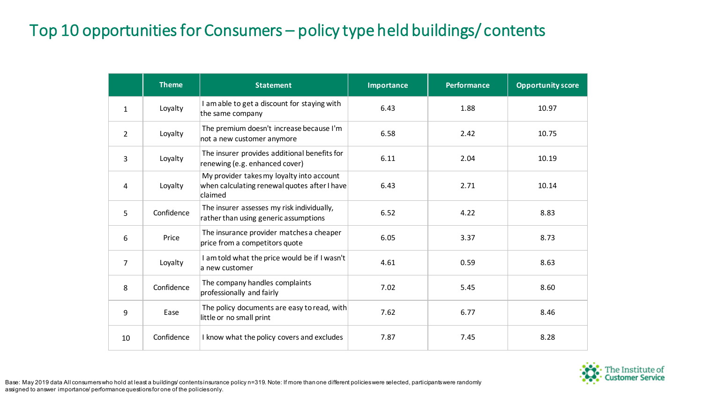#### Top 10 opportunities for Consumers – policy type held buildings/ contents

|                | <b>Theme</b> | <b>Statement</b>                                                                                     | Importance | <b>Performance</b> | <b>Opportunity score</b> |
|----------------|--------------|------------------------------------------------------------------------------------------------------|------------|--------------------|--------------------------|
| $\mathbf{1}$   | Loyalty      | I am able to get a discount for staying with<br>the same company                                     | 6.43       | 1.88               | 10.97                    |
| 2              | Loyalty      | The premium doesn't increase because I'm<br>not a new customer anymore                               | 6.58       | 2.42               | 10.75                    |
| 3              | Loyalty      | The insurer provides additional benefits for<br>renewing (e.g. enhanced cover)                       | 6.11       | 2.04               | 10.19                    |
| 4              | Loyalty      | My provider takes my loyalty into account<br>when calculating renewal quotes after I have<br>claimed | 6.43       | 2.71               | 10.14                    |
| 5              | Confidence   | The insurer assesses my risk individually,<br>rather than using generic assumptions                  | 6.52       | 4.22               | 8.83                     |
| 6              | Price        | The insurance provider matches a cheaper<br>price from a competitors quote                           | 6.05       | 3.37               | 8.73                     |
| $\overline{7}$ | Loyalty      | I am told what the price would be if I wasn't<br>a new customer                                      | 4.61       | 0.59               | 8.63                     |
| 8              | Confidence   | The company handles complaints<br>professionally and fairly                                          | 7.02       | 5.45               | 8.60                     |
| 9              | Ease         | The policy documents are easy to read, with<br>little or no small print                              | 7.62       | 6.77               | 8.46                     |
| 10             | Confidence   | I know what the policy covers and excludes                                                           | 7.87       | 7.45               | 8.28                     |



Base: May 2019 data All consumers who hold at least a buildings/ contents insurance policy n=319. Note: If more than one different policies were selected, participants were randomly assigned to answer importance/ performance questions for one of the policies only.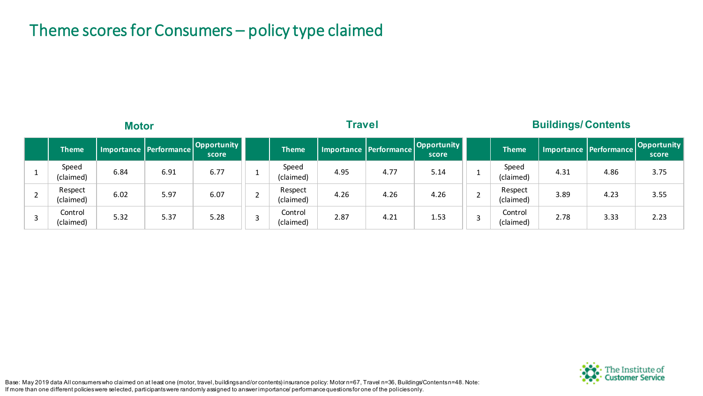#### Theme scores for Consumers – policy type claimed

| <b>Motor</b>         |      |                        | <b>Travel</b>               |  |                      |      | <b>Buildings/Contents</b> |                      |  |                      |      |                          |                             |
|----------------------|------|------------------------|-----------------------------|--|----------------------|------|---------------------------|----------------------|--|----------------------|------|--------------------------|-----------------------------|
| <b>Theme</b>         |      | Importance Performance | <b>Opportunity</b><br>score |  | <b>Theme</b>         |      | Importance   Performance  | Opportunity<br>score |  | <b>Theme</b>         |      | Importance   Performance | <b>Opportunity</b><br>score |
| Speed<br>(claimed)   | 6.84 | 6.91                   | 6.77                        |  | Speed<br>(claimed)   | 4.95 | 4.77                      | 5.14                 |  | Speed<br>(claimed)   | 4.31 | 4.86                     | 3.75                        |
| Respect<br>(claimed) | 6.02 | 5.97                   | 6.07                        |  | Respect<br>(claimed) | 4.26 | 4.26                      | 4.26                 |  | Respect<br>(claimed) | 3.89 | 4.23                     | 3.55                        |
| Control<br>(claimed) | 5.32 | 5.37                   | 5.28                        |  | Control<br>(claimed) | 2.87 | 4.21                      | 1.53                 |  | Control<br>(claimed) | 2.78 | 3.33                     | 2.23                        |



Base: May 2019 data All consumers who claimed on at least one (motor, travel, buildings and/or contents) insurance policy: Motor n=67, Travel n=36, Buildings/Contents n=48. Note: If more than one different policies were selected, participants were randomly assigned to answer importance/ performance questions for one of the policies only.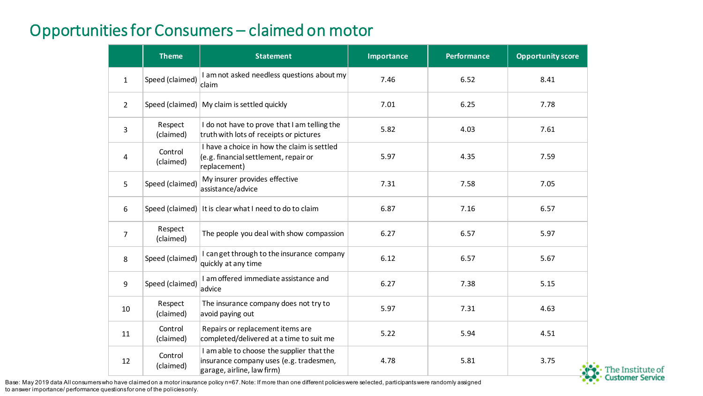#### Opportunities for Consumers – claimed on motor

|                | <b>Theme</b>         | <b>Statement</b>                                                                                                   | Importance | <b>Performance</b> | <b>Opportunity score</b> |
|----------------|----------------------|--------------------------------------------------------------------------------------------------------------------|------------|--------------------|--------------------------|
| $\mathbf{1}$   | Speed (claimed)      | I am not asked needless questions about my<br>claim                                                                | 7.46       | 6.52               | 8.41                     |
| $\overline{2}$ |                      | Speed (claimed)   My claim is settled quickly                                                                      | 7.01       | 6.25               | 7.78                     |
| 3              | Respect<br>(claimed) | I do not have to prove that I am telling the<br>truth with lots of receipts or pictures                            | 5.82       | 4.03               | 7.61                     |
| 4              | Control<br>(claimed) | I have a choice in how the claim is settled<br>(e.g. financial settlement, repair or<br>replacement)               | 5.97       | 4.35               | 7.59                     |
| 5              | Speed (claimed)      | My insurer provides effective<br>assistance/advice                                                                 | 7.31       | 7.58               | 7.05                     |
| 6              |                      | Speed (claimed) It is clear what I need to do to claim                                                             | 6.87       | 7.16               | 6.57                     |
| $\overline{7}$ | Respect<br>(claimed) | The people you deal with show compassion                                                                           | 6.27       | 6.57               | 5.97                     |
| 8              | Speed (claimed)      | I canget through to the insurance company<br>quickly at any time                                                   | 6.12       | 6.57               | 5.67                     |
| 9              | Speed (claimed)      | I am offered immediate assistance and<br>advice                                                                    | 6.27       | 7.38               | 5.15                     |
| 10             | Respect<br>(claimed) | The insurance company does not try to<br>avoid paying out                                                          | 5.97       | 7.31               | 4.63                     |
| 11             | Control<br>(claimed) | Repairs or replacement items are<br>completed/delivered at a time to suit me                                       | 5.22       | 5.94               | 4.51                     |
| 12             | Control<br>(claimed) | I am able to choose the supplier that the<br>insurance company uses (e.g. tradesmen,<br>garage, airline, law firm) | 4.78       | 5.81               | 3.75                     |

The Institute of<br>Customer Service

Base: May 2019 data All consumers who have claimed on a motor insurance policy n=67. Note: If more than one different policies were selected, participants were randomly assigned to answer importance/ performance questions for one of the policies only.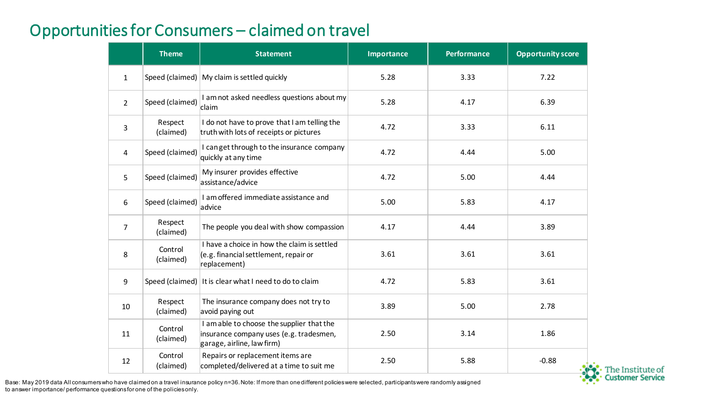#### Opportunities for Consumers – claimed on travel

|                | <b>Theme</b>         | <b>Statement</b>                                                                                                   | <b>Importance</b> | <b>Performance</b> | <b>Opportunity score</b> |
|----------------|----------------------|--------------------------------------------------------------------------------------------------------------------|-------------------|--------------------|--------------------------|
| $\mathbf{1}$   |                      | Speed (claimed)   My claim is settled quickly                                                                      | 5.28              | 3.33               | 7.22                     |
| $\overline{2}$ | Speed (claimed)      | I am not asked needless questions about my<br>claim                                                                | 5.28              | 4.17               | 6.39                     |
| 3              | Respect<br>(claimed) | I do not have to prove that I am telling the<br>truth with lots of receipts or pictures                            | 4.72              | 3.33               | 6.11                     |
| 4              | Speed (claimed)      | I can get through to the insurance company<br>quickly at any time                                                  | 4.72              | 4.44               | 5.00                     |
| 5              | Speed (claimed)      | My insurer provides effective<br>assistance/advice                                                                 | 4.72              | 5.00               | 4.44                     |
| 6              | Speed (claimed)      | I am offered immediate assistance and<br>advice                                                                    | 5.00              | 5.83               | 4.17                     |
| $\overline{7}$ | Respect<br>(claimed) | The people you deal with show compassion                                                                           | 4.17              | 4.44               | 3.89                     |
| 8              | Control<br>(claimed) | I have a choice in how the claim is settled<br>(e.g. financial settlement, repair or<br>replacement)               | 3.61              | 3.61               | 3.61                     |
| 9              |                      | Speed (claimed)   It is clear what I need to do to claim                                                           | 4.72              | 5.83               | 3.61                     |
| 10             | Respect<br>(claimed) | The insurance company does not try to<br>avoid paying out                                                          | 3.89              | 5.00               | 2.78                     |
| 11             | Control<br>(claimed) | I am able to choose the supplier that the<br>insurance company uses (e.g. tradesmen,<br>garage, airline, law firm) | 2.50              | 3.14               | 1.86                     |
| 12             | Control<br>(claimed) | Repairs or replacement items are<br>completed/delivered at a time to suit me                                       | 2.50              | 5.88               | $-0.88$                  |

: Institute of<br>I**omer Service** 

Base: May 2019 data All consumers who have claimed on a travel insurance policy n=36. Note: If more than one different policies were selected, participants were randomly assigned to answer importance/ performance questions for one of the policies only.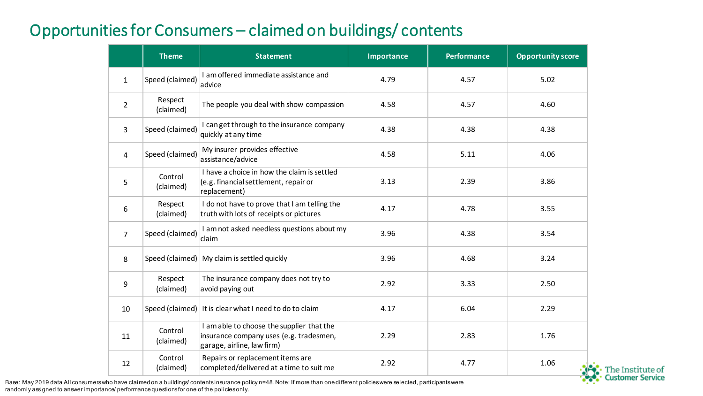#### Opportunities for Consumers – claimed on buildings/ contents

|                | <b>Theme</b>         | <b>Statement</b>                                                                                                   | <b>Importance</b> | <b>Performance</b> | <b>Opportunity score</b> |
|----------------|----------------------|--------------------------------------------------------------------------------------------------------------------|-------------------|--------------------|--------------------------|
| $\mathbf{1}$   | Speed (claimed)      | I am offered immediate assistance and<br>advice                                                                    | 4.79              | 4.57               | 5.02                     |
| $\overline{2}$ | Respect<br>(claimed) | The people you deal with show compassion                                                                           | 4.58              | 4.57               | 4.60                     |
| 3              | Speed (claimed)      | I can get through to the insurance company<br>quickly at any time                                                  | 4.38              | 4.38               | 4.38                     |
| 4              | Speed (claimed)      | My insurer provides effective<br>assistance/advice                                                                 | 4.58              | 5.11               | 4.06                     |
| 5              | Control<br>(claimed) | I have a choice in how the claim is settled<br>(e.g. financial settlement, repair or<br>replacement)               | 3.13              | 2.39               | 3.86                     |
| 6              | Respect<br>(claimed) | I do not have to prove that I am telling the<br>truth with lots of receipts or pictures                            | 4.17              | 4.78               | 3.55                     |
| $\overline{7}$ | Speed (claimed)      | I am not asked needless questions about my<br>claim                                                                | 3.96              | 4.38               | 3.54                     |
| 8              | Speed (claimed)      | My claim is settled quickly                                                                                        | 3.96              | 4.68               | 3.24                     |
| 9              | Respect<br>(claimed) | The insurance company does not try to<br>avoid paying out                                                          | 2.92              | 3.33               | 2.50                     |
| 10             |                      | Speed (claimed)   It is clear what I need to do to claim                                                           | 4.17              | 6.04               | 2.29                     |
| 11             | Control<br>(claimed) | I am able to choose the supplier that the<br>insurance company uses (e.g. tradesmen,<br>garage, airline, law firm) | 2.29              | 2.83               | 1.76                     |
| 12             | Control<br>(claimed) | Repairs or replacement items are<br>completed/delivered at a time to suit me                                       | 2.92              | 4.77               | 1.06                     |

The Institute of<br>Customer Service

Base: May 2019 data All consumers who have claimed on a buildings/ contents insurance policy n=48. Note: If more than one different policies were selected, participants were randomly assigned to answer importance/ performance questions for one of the policies only.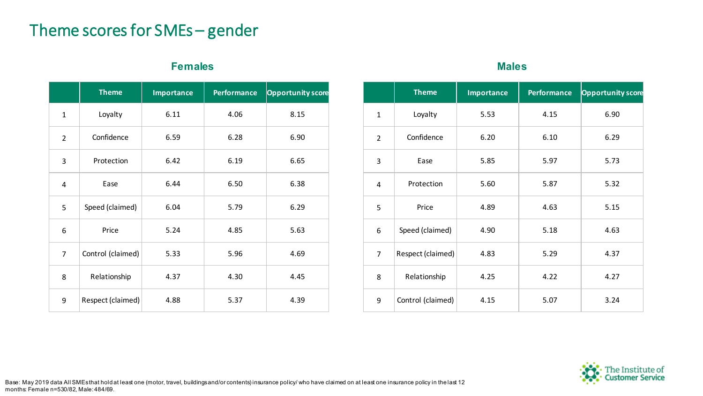#### Theme scores for SMEs – gender

#### **Females Males**

|                | <b>Theme</b>      | <b>Importance</b> | <b>Performance</b> | <b>Opportunity score</b> |
|----------------|-------------------|-------------------|--------------------|--------------------------|
| $\mathbf 1$    | Loyalty           | 6.11              | 4.06               | 8.15                     |
| 2              | Confidence        | 6.59              | 6.28               | 6.90                     |
| 3              | Protection        | 6.42              | 6.19               | 6.65                     |
| 4              | Ease              | 6.44              | 6.50               | 6.38                     |
| 5              | Speed (claimed)   | 6.04              | 5.79               | 6.29                     |
| 6              | Price             | 5.24              | 4.85               | 5.63                     |
| $\overline{7}$ | Control (claimed) | 5.33              | 5.96               | 4.69                     |
| 8              | Relationship      | 4.37              | 4.30               | 4.45                     |
| 9              | Respect (claimed) | 4.88              | 5.37               | 4.39                     |

|                | <b>Theme</b>      | <b>Importance</b> | <b>Performance</b> | <b>Opportunity score</b> |
|----------------|-------------------|-------------------|--------------------|--------------------------|
| $\mathbf{1}$   | Loyalty           | 5.53              | 4.15               | 6.90                     |
| $\overline{2}$ | Confidence        | 6.20              | 6.10               | 6.29                     |
| 3              | Ease              | 5.85              | 5.97               | 5.73                     |
| $\overline{4}$ | Protection        | 5.60              | 5.87               | 5.32                     |
| 5              | Price             | 4.89              | 4.63               | 5.15                     |
| 6              | Speed (claimed)   | 4.90              | 5.18               | 4.63                     |
| $\overline{7}$ | Respect (claimed) | 4.83              | 5.29               | 4.37                     |
| 8              | Relationship      | 4.25              | 4.22               | 4.27                     |
| 9              | Control (claimed) | 4.15              | 5.07               | 3.24                     |

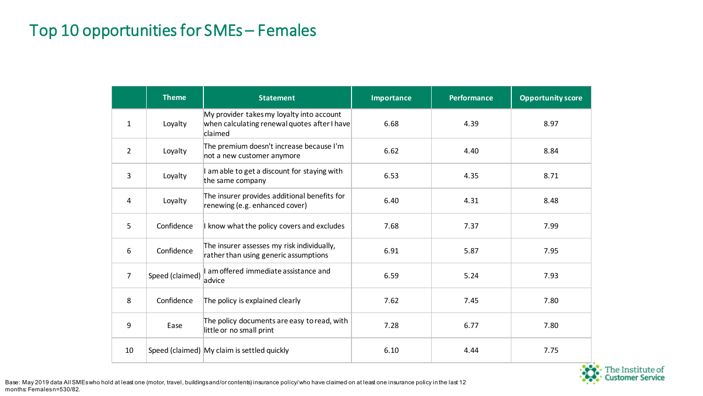#### Top 10 opportunities for SMEs – Females

|                | <b>Theme</b>    | <b>Statement</b>                                                                                     | <b>Importance</b> | <b>Performance</b> | <b>Opportunity score</b> |
|----------------|-----------------|------------------------------------------------------------------------------------------------------|-------------------|--------------------|--------------------------|
| $\mathbf{1}$   | Loyalty         | My provider takes my loyalty into account<br>when calculating renewal quotes after I have<br>claimed | 6.68              | 4.39               | 8.97                     |
| $\overline{2}$ | Loyalty         | The premium doesn't increase because I'm<br>not a new customer anymore                               | 6.62              | 4.40               | 8.84                     |
| 3              | Loyalty         | am able to get a discount for staying with<br>the same company                                       | 6.53              | 4.35               | 8.71                     |
| 4              | Loyalty         | The insurer provides additional benefits for<br>renewing (e.g. enhanced cover)                       | 6.40              | 4.31               | 8.48                     |
| 5              | Confidence      | I know what the policy covers and excludes                                                           | 7.68              | 7.37               | 7.99                     |
| 6              | Confidence      | The insurer assesses my risk individually,<br>rather than using generic assumptions                  | 6.91              | 5.87               | 7.95                     |
| $\overline{7}$ | Speed (claimed) | am offered immediate assistance and<br>advice                                                        | 6.59              | 5.24               | 7.93                     |
| 8              | Confidence      | The policy is explained clearly                                                                      | 7.62              | 7.45               | 7.80                     |
| 9              | Ease            | The policy documents are easy to read, with<br>little or no small print                              | 7.28              | 6.77               | 7.80                     |
| 10             |                 | Speed (claimed) My claim is settled quickly                                                          | 6.10              | 4.44               | 7.75                     |

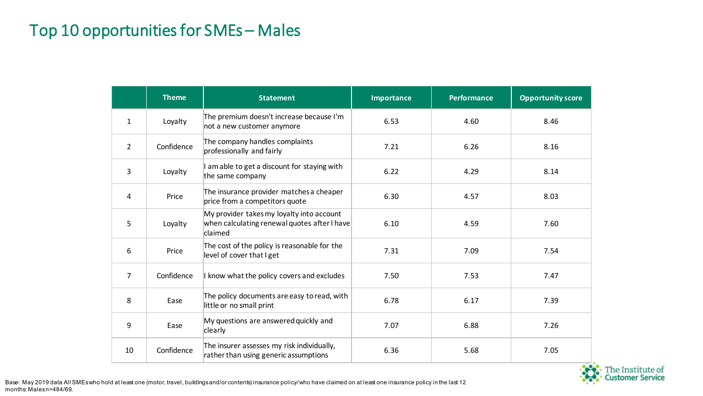#### Top 10 opportunities for SMEs – Males

|                | <b>Theme</b> | <b>Statement</b>                                                                                     | <b>Importance</b> | <b>Performance</b> | <b>Opportunity score</b> |
|----------------|--------------|------------------------------------------------------------------------------------------------------|-------------------|--------------------|--------------------------|
| $\mathbf{1}$   | Loyalty      | The premium doesn't increase because I'm<br>not a new customer anymore                               | 6.53              | 4.60               | 8.46                     |
| $\overline{2}$ | Confidence   | The company handles complaints<br>professionally and fairly                                          | 7.21              | 6.26               | 8.16                     |
| 3              | Loyalty      | I am able to get a discount for staying with<br>the same company                                     | 6.22              | 4.29               | 8.14                     |
| 4              | Price        | The insurance provider matches a cheaper<br>price from a competitors quote                           | 6.30              | 4.57               | 8.03                     |
| 5              | Loyalty      | My provider takes my loyalty into account<br>when calculating renewal quotes after I have<br>claimed | 6.10              | 4.59               | 7.60                     |
| 6              | Price        | The cost of the policy is reasonable for the<br>level of cover that I get                            | 7.31              | 7.09               | 7.54                     |
| 7              | Confidence   | I know what the policy covers and excludes                                                           | 7.50              | 7.53               | 7.47                     |
| 8              | Ease         | The policy documents are easy to read, with<br>little or no small print                              | 6.78              | 6.17               | 7.39                     |
| 9              | Ease         | My questions are answered quickly and<br>clearly                                                     | 7.07              | 6.88               | 7.26                     |
| 10             | Confidence   | The insurer assesses my risk individually,<br>rather than using generic assumptions                  | 6.36              | 5.68               | 7.05                     |

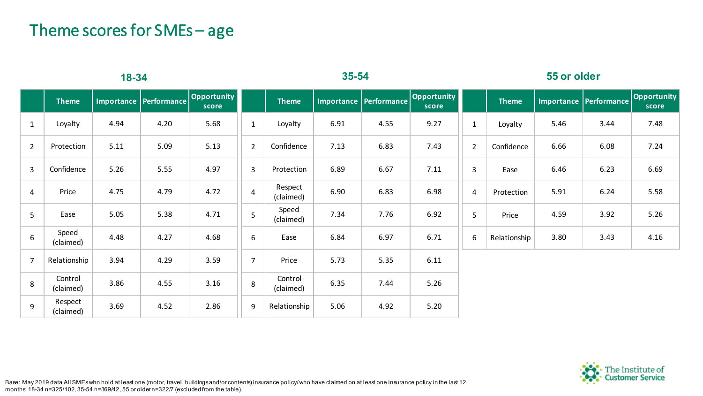#### Theme scores for SMEs – age

| $18 - 34$        |                      |      |                        |                      | $35 - 54$      |                      |                   |                     | 55 or older          |                  |              |      |                          |                      |
|------------------|----------------------|------|------------------------|----------------------|----------------|----------------------|-------------------|---------------------|----------------------|------------------|--------------|------|--------------------------|----------------------|
|                  | <b>Theme</b>         |      | Importance Performance | Opportunity<br>score |                | <b>Theme</b>         | <b>Importance</b> | $ $ Performance $ $ | Opportunity<br>score |                  | <b>Theme</b> |      | Importance   Performance | Opportunity<br>score |
| $\mathbf{1}$     | Loyalty              | 4.94 | 4.20                   | 5.68                 | $\mathbf{1}$   | Loyalty              | 6.91              | 4.55                | 9.27                 | $\mathbf{1}$     | Loyalty      | 5.46 | 3.44                     | 7.48                 |
| $\overline{2}$   | Protection           | 5.11 | 5.09                   | 5.13                 | $\overline{2}$ | Confidence           | 7.13              | 6.83                | 7.43                 | $\overline{2}$   | Confidence   | 6.66 | 6.08                     | 7.24                 |
| $\overline{3}$   | Confidence           | 5.26 | 5.55                   | 4.97                 | 3              | Protection           | 6.89              | 6.67                | 7.11                 | 3                | Ease         | 6.46 | 6.23                     | 6.69                 |
| $\overline{4}$   | Price                | 4.75 | 4.79                   | 4.72                 | 4              | Respect<br>(claimed) | 6.90              | 6.83                | 6.98                 | $\overline{4}$   | Protection   | 5.91 | 6.24                     | 5.58                 |
| 5                | Ease                 | 5.05 | 5.38                   | 4.71                 | 5              | Speed<br>(claimed)   | 7.34              | 7.76                | 6.92                 | 5                | Price        | 4.59 | 3.92                     | 5.26                 |
| $\boldsymbol{6}$ | Speed<br>(claimed)   | 4.48 | 4.27                   | 4.68                 | 6              | Ease                 | 6.84              | 6.97                | 6.71                 | $\boldsymbol{6}$ | Relationship | 3.80 | 3.43                     | 4.16                 |
| $\overline{7}$   | Relationship         | 3.94 | 4.29                   | 3.59                 | $\overline{7}$ | Price                | 5.73              | 5.35                | 6.11                 |                  |              |      |                          |                      |
| 8                | Control<br>(claimed) | 3.86 | 4.55                   | 3.16                 | 8              | Control<br>(claimed) | 6.35              | 7.44                | 5.26                 |                  |              |      |                          |                      |
| $\overline{9}$   | Respect<br>(claimed) | 3.69 | 4.52                   | 2.86                 | 9              | Relationship         | 5.06              | 4.92                | 5.20                 |                  |              |      |                          |                      |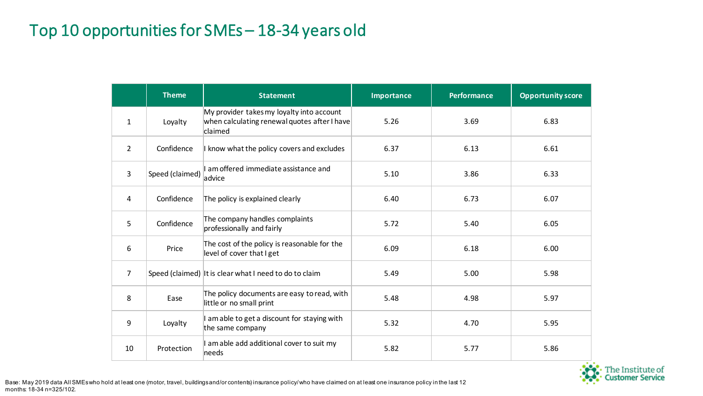#### Top 10 opportunities for SMEs – 18-34 years old

|                | <b>Theme</b>    | <b>Statement</b>                                                                                     | <b>Importance</b> | <b>Performance</b> | <b>Opportunity score</b> |
|----------------|-----------------|------------------------------------------------------------------------------------------------------|-------------------|--------------------|--------------------------|
| $\mathbf{1}$   | Loyalty         | My provider takes my loyalty into account<br>when calculating renewal quotes after I have<br>claimed | 5.26              | 3.69               | 6.83                     |
| $\overline{2}$ | Confidence      | I know what the policy covers and excludes                                                           | 6.37              | 6.13               | 6.61                     |
| 3              | Speed (claimed) | I am offered immediate assistance and<br>advice                                                      | 5.10              | 3.86               | 6.33                     |
| 4              | Confidence      | The policy is explained clearly                                                                      | 6.40              | 6.73               | 6.07                     |
| 5              | Confidence      | The company handles complaints<br>professionally and fairly                                          | 5.72              | 5.40               | 6.05                     |
| 6              | Price           | The cost of the policy is reasonable for the<br>level of cover that I get                            | 6.09              | 6.18               | 6.00                     |
| 7              |                 | Speed (claimed) It is clear what I need to do to claim                                               | 5.49              | 5.00               | 5.98                     |
| 8              | Ease            | The policy documents are easy to read, with<br>little or no small print                              | 5.48              | 4.98               | 5.97                     |
| 9              | Loyalty         | am able to get a discount for staying with<br>the same company                                       | 5.32              | 4.70               | 5.95                     |
| 10             | Protection      | I am able add additional cover to suit my<br>needs                                                   | 5.82              | 5.77               | 5.86                     |

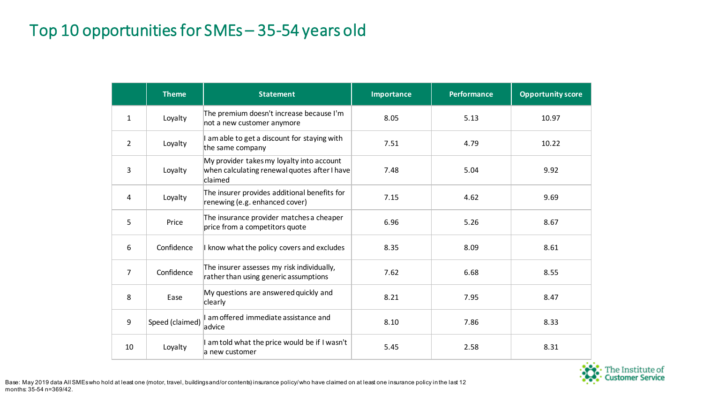#### Top 10 opportunities for SMEs – 35-54 years old

|              | <b>Theme</b>    | <b>Statement</b>                                                                                     | Importance | <b>Performance</b> | <b>Opportunity score</b> |
|--------------|-----------------|------------------------------------------------------------------------------------------------------|------------|--------------------|--------------------------|
| $\mathbf{1}$ | Loyalty         | The premium doesn't increase because I'm<br>not a new customer anymore                               | 8.05       | 5.13               | 10.97                    |
| 2            | Loyalty         | am able to get a discount for staying with<br>the same company                                       | 7.51       | 4.79               | 10.22                    |
| 3            | Loyalty         | My provider takes my loyalty into account<br>when calculating renewal quotes after I have<br>claimed | 7.48       | 5.04               | 9.92                     |
| 4            | Loyalty         | The insurer provides additional benefits for<br>renewing (e.g. enhanced cover)                       | 7.15       | 4.62               | 9.69                     |
| 5            | Price           | The insurance provider matches a cheaper<br>price from a competitors quote                           | 6.96       | 5.26               | 8.67                     |
| 6            | Confidence      | I know what the policy covers and excludes                                                           | 8.35       | 8.09               | 8.61                     |
| 7            | Confidence      | The insurer assesses my risk individually,<br>rather than using generic assumptions                  | 7.62       | 6.68               | 8.55                     |
| 8            | Ease            | My questions are answered quickly and<br>clearly                                                     | 8.21       | 7.95               | 8.47                     |
| 9            | Speed (claimed) | am offered immediate assistance and<br>advice                                                        | 8.10       | 7.86               | 8.33                     |
| 10           | Loyalty         | I am told what the price would be if I wasn't<br>la new customer                                     | 5.45       | 2.58               | 8.31                     |

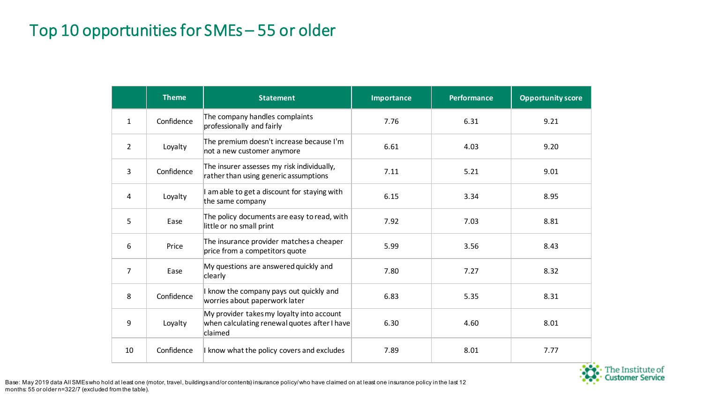#### Top 10 opportunities for SMEs – 55 or older

|                | <b>Theme</b> | <b>Statement</b>                                                                                     | Importance | <b>Performance</b> | <b>Opportunity score</b> |
|----------------|--------------|------------------------------------------------------------------------------------------------------|------------|--------------------|--------------------------|
| $\mathbf{1}$   | Confidence   | The company handles complaints<br>professionally and fairly                                          | 7.76       | 6.31               | 9.21                     |
| $\overline{2}$ | Loyalty      | The premium doesn't increase because I'm<br>not a new customer anymore                               | 6.61       | 4.03               | 9.20                     |
| $\overline{3}$ | Confidence   | The insurer assesses my risk individually,<br>rather than using generic assumptions                  | 7.11       | 5.21               | 9.01                     |
| 4              | Loyalty      | I am able to get a discount for staying with<br>the same company                                     | 6.15       | 3.34               | 8.95                     |
| 5              | Ease         | The policy documents are easy to read, with<br>little or no small print                              | 7.92       | 7.03               | 8.81                     |
| 6              | Price        | The insurance provider matches a cheaper<br>price from a competitors quote                           | 5.99       | 3.56               | 8.43                     |
| $\overline{7}$ | Ease         | My questions are answered quickly and<br>clearly                                                     | 7.80       | 7.27               | 8.32                     |
| 8              | Confidence   | I know the company pays out quickly and<br>worries about paperwork later                             | 6.83       | 5.35               | 8.31                     |
| 9              | Loyalty      | My provider takes my loyalty into account<br>when calculating renewal quotes after I have<br>claimed | 6.30       | 4.60               | 8.01                     |
| 10             | Confidence   | I know what the policy covers and excludes                                                           | 7.89       | 8.01               | 7.77                     |



Base: May 2019 data All SMEs who hold at least one (motor, travel, buildings and/or contents) insurance policy/ who have claimed on at least one insurance policy in the last 12 months: 55 or older n=322/7 (excluded from the table).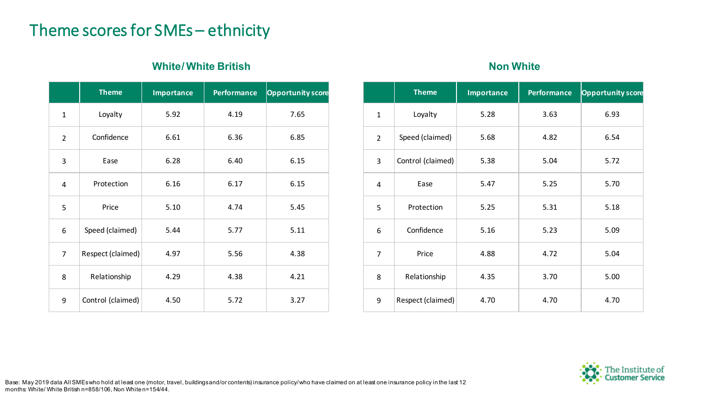#### Theme scores for SMEs – ethnicity

#### **White/White British <b>Non White Non White**

|                | <b>Theme</b>      | <b>Importance</b> | <b>Performance</b> | <b>Opportunity score</b> |
|----------------|-------------------|-------------------|--------------------|--------------------------|
| $\mathbf{1}$   | Loyalty           | 5.92              | 4.19               | 7.65                     |
| $\overline{2}$ | Confidence        | 6.61              | 6.36               | 6.85                     |
| 3              | Ease              | 6.28              | 6.40               | 6.15                     |
| 4              | Protection        | 6.16              | 6.17               | 6.15                     |
| 5              | Price             | 5.10              | 4.74               | 5.45                     |
| 6              | Speed (claimed)   | 5.44              | 5.77               | 5.11                     |
| $\overline{7}$ | Respect (claimed) | 4.97              | 5.56               | 4.38                     |
| 8              | Relationship      | 4.29              | 4.38               | 4.21                     |
| 9              | Control (claimed) | 4.50              | 5.72               | 3.27                     |

|                | <b>Theme</b>      | <b>Importance</b> | <b>Performance</b> | <b>Opportunity score</b> |
|----------------|-------------------|-------------------|--------------------|--------------------------|
| $\mathbf{1}$   | Loyalty           | 5.28              | 3.63               | 6.93                     |
| $\overline{2}$ | Speed (claimed)   | 5.68              | 4.82               | 6.54                     |
| 3              | Control (claimed) | 5.38              | 5.04               | 5.72                     |
| 4              | Ease              | 5.47              | 5.25               | 5.70                     |
| 5              | Protection        | 5.25              | 5.31               | 5.18                     |
| 6              | Confidence        | 5.16              | 5.23               | 5.09                     |
| $\overline{7}$ | Price             | 4.88              | 4.72               | 5.04                     |
| 8              | Relationship      | 4.35              | 3.70               | 5.00                     |
| 9              | Respect (claimed) | 4.70              | 4.70               | 4.70                     |

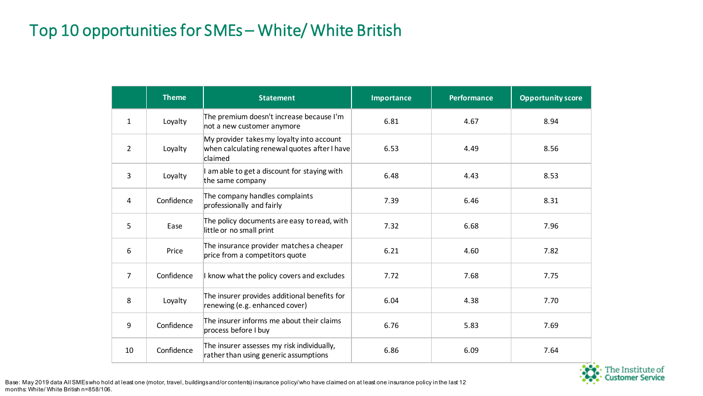## Top 10 opportunities for SMEs – White/ White British

|                | <b>Theme</b> | <b>Statement</b>                                                                                     | <b>Importance</b> | <b>Performance</b> | <b>Opportunity score</b> |
|----------------|--------------|------------------------------------------------------------------------------------------------------|-------------------|--------------------|--------------------------|
| $\mathbf{1}$   | Loyalty      | The premium doesn't increase because I'm<br>not a new customer anymore                               | 6.81              | 4.67               | 8.94                     |
| $\overline{2}$ | Loyalty      | My provider takes my loyalty into account<br>when calculating renewal quotes after I have<br>claimed | 6.53              | 4.49               | 8.56                     |
| 3              | Loyalty      | am able to get a discount for staying with<br>the same company                                       | 6.48              | 4.43               | 8.53                     |
| 4              | Confidence   | The company handles complaints<br>professionally and fairly                                          | 7.39              | 6.46               | 8.31                     |
| 5              | Ease         | The policy documents are easy to read, with<br>little or no small print                              | 7.32              | 6.68               | 7.96                     |
| 6              | Price        | The insurance provider matches a cheaper<br>price from a competitors quote                           | 6.21              | 4.60               | 7.82                     |
| 7              | Confidence   | I know what the policy covers and excludes                                                           | 7.72              | 7.68               | 7.75                     |
| 8              | Loyalty      | The insurer provides additional benefits for<br>renewing (e.g. enhanced cover)                       | 6.04              | 4.38               | 7.70                     |
| 9              | Confidence   | The insurer informs me about their claims<br>process before I buy                                    | 6.76              | 5.83               | 7.69                     |
| 10             | Confidence   | The insurer assesses my risk individually,<br>rather than using generic assumptions                  | 6.86              | 6.09               | 7.64                     |

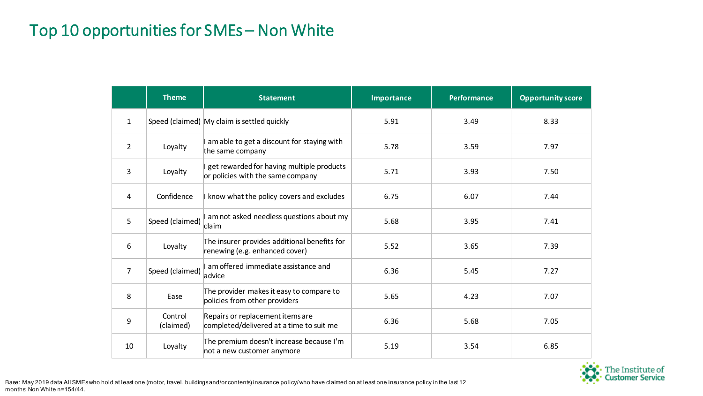#### Top 10 opportunities for SMEs – Non White

|                 | <b>Theme</b>         | <b>Statement</b>                                                               | Importance | <b>Performance</b> | <b>Opportunity score</b> |
|-----------------|----------------------|--------------------------------------------------------------------------------|------------|--------------------|--------------------------|
| $\mathbf{1}$    |                      | Speed (claimed) My claim is settled quickly                                    | 5.91       | 3.49               | 8.33                     |
| $\overline{2}$  | Loyalty              | I am able to get a discount for staying with<br>the same company               | 5.78       | 3.59               | 7.97                     |
| 3               | Loyalty              | get rewarded for having multiple products<br>or policies with the same company | 5.71       | 3.93               | 7.50                     |
| 4               | Confidence           | I know what the policy covers and excludes                                     | 6.75       | 6.07               | 7.44                     |
| $5\overline{)}$ | Speed (claimed)      | I am not asked needless questions about my<br>claim                            | 5.68       | 3.95               | 7.41                     |
| 6               | Loyalty              | The insurer provides additional benefits for<br>renewing (e.g. enhanced cover) | 5.52       | 3.65               | 7.39                     |
| $\overline{7}$  | Speed (claimed)      | am offered immediate assistance and<br>advice                                  | 6.36       | 5.45               | 7.27                     |
| 8               | Ease                 | The provider makes it easy to compare to<br>policies from other providers      | 5.65       | 4.23               | 7.07                     |
| 9               | Control<br>(claimed) | Repairs or replacement items are<br>completed/delivered at a time to suit me   | 6.36       | 5.68               | 7.05                     |
| 10              | Loyalty              | The premium doesn't increase because I'm<br>not a new customer anymore         | 5.19       | 3.54               | 6.85                     |

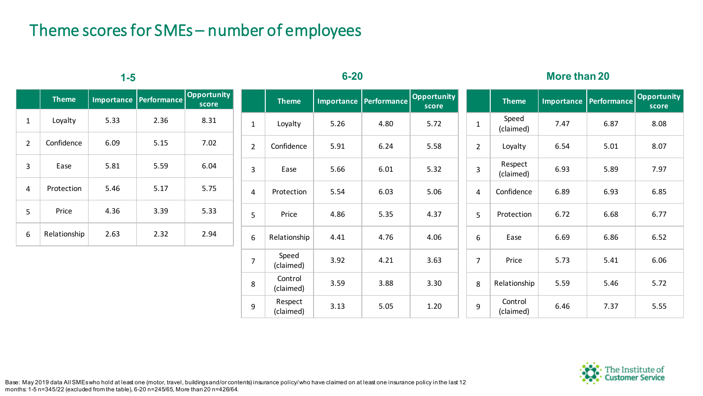#### Theme scores for SMEs – number of employees

|              |              | $1-5$ |                        |                             |                | $6 - 20$             |      |      |                                    |                | <b>More than 20</b>  |      |                        |                             |  |
|--------------|--------------|-------|------------------------|-----------------------------|----------------|----------------------|------|------|------------------------------------|----------------|----------------------|------|------------------------|-----------------------------|--|
|              | <b>Theme</b> |       | Importance Performance | <b>Opportunity</b><br>score |                | <b>Theme</b>         |      |      | Importance Performance Opportunity |                | <b>Theme</b>         |      | Importance Performance | <b>Opportunity</b><br>score |  |
| $\mathbf{1}$ | Loyalty      | 5.33  | 2.36                   | 8.31                        | $\mathbf{1}$   | Loyalty              | 5.26 | 4.80 | 5.72                               | $\mathbf{1}$   | Speed<br>(claimed)   | 7.47 | 6.87                   | 8.08                        |  |
| 2            | Confidence   | 6.09  | 5.15                   | 7.02                        | $\overline{2}$ | Confidence           | 5.91 | 6.24 | 5.58                               | $\overline{2}$ | Loyalty              | 6.54 | 5.01                   | 8.07                        |  |
| 3            | Ease         | 5.81  | 5.59                   | 6.04                        | $\overline{3}$ | Ease                 | 5.66 | 6.01 | 5.32                               | 3              | Respect<br>(claimed) | 6.93 | 5.89                   | 7.97                        |  |
| 4            | Protection   | 5.46  | 5.17                   | 5.75                        | $\overline{4}$ | Protection           | 5.54 | 6.03 | 5.06                               | 4              | Confidence           | 6.89 | 6.93                   | 6.85                        |  |
| 5            | Price        | 4.36  | 3.39                   | 5.33                        | 5              | Price                | 4.86 | 5.35 | 4.37                               | 5              | Protection           | 6.72 | 6.68                   | 6.77                        |  |
| 6            | Relationship | 2.63  | 2.32                   | 2.94                        | 6              | Relationship         | 4.41 | 4.76 | 4.06                               | 6              | Ease                 | 6.69 | 6.86                   | 6.52                        |  |
|              |              |       |                        |                             | $\overline{7}$ | Speed<br>(claimed)   | 3.92 | 4.21 | 3.63                               | $\overline{7}$ | Price                | 5.73 | 5.41                   | 6.06                        |  |
|              |              |       |                        |                             | 8              | Control<br>(claimed) | 3.59 | 3.88 | 3.30                               | 8              | Relationship         | 5.59 | 5.46                   | 5.72                        |  |
|              |              |       |                        |                             | 9              | Respect<br>(claimed) | 3.13 | 5.05 | 1.20                               | 9              | Control<br>(claimed) | 6.46 | 7.37                   | 5.55                        |  |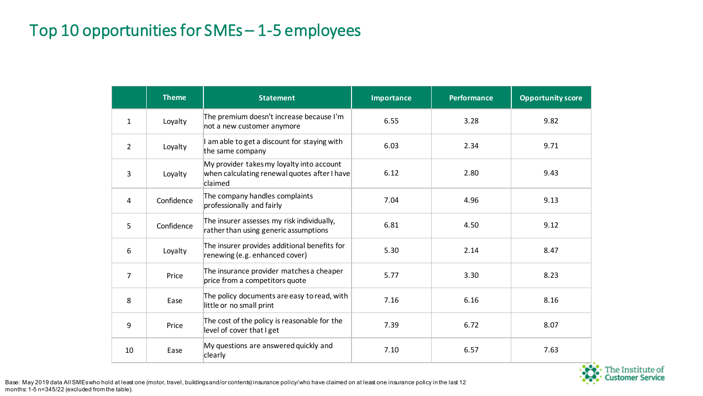#### Top 10 opportunities for SMEs – 1-5 employees

|                | <b>Theme</b> | <b>Statement</b>                                                                                     | Importance | <b>Performance</b> | <b>Opportunity score</b> |
|----------------|--------------|------------------------------------------------------------------------------------------------------|------------|--------------------|--------------------------|
| 1              | Loyalty      | The premium doesn't increase because I'm<br>not a new customer anymore                               | 6.55       | 3.28               | 9.82                     |
| $\overline{2}$ | Loyalty      | am able to get a discount for staying with<br>the same company                                       | 6.03       | 2.34               | 9.71                     |
| 3              | Loyalty      | My provider takes my loyalty into account<br>when calculating renewal quotes after I have<br>claimed | 6.12       | 2.80               | 9.43                     |
| 4              | Confidence   | The company handles complaints<br>professionally and fairly                                          | 7.04       | 4.96               | 9.13                     |
| 5              | Confidence   | The insurer assesses my risk individually,<br>rather than using generic assumptions                  | 6.81       | 4.50               | 9.12                     |
| 6              | Loyalty      | The insurer provides additional benefits for<br>renewing (e.g. enhanced cover)                       | 5.30       | 2.14               | 8.47                     |
| $\overline{7}$ | Price        | The insurance provider matches a cheaper<br>price from a competitors quote                           | 5.77       | 3.30               | 8.23                     |
| 8              | Ease         | The policy documents are easy to read, with<br>little or no small print                              | 7.16       | 6.16               | 8.16                     |
| 9              | Price        | The cost of the policy is reasonable for the<br>level of cover that I get                            | 7.39       | 6.72               | 8.07                     |
| 10             | Ease         | My questions are answered quickly and<br>clearly                                                     | 7.10       | 6.57               | 7.63                     |



Base: May 2019 data All SMEs who hold at least one (motor, travel, buildings and/or contents) insurance policy/ who have claimed on at least one insurance policy in the last 12 months: 1-5 n=345/22 (excluded from the table).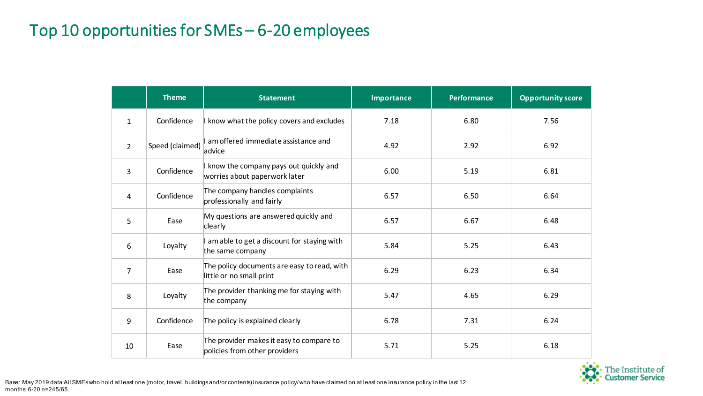#### Top 10 opportunities for SMEs – 6-20 employees

|                | <b>Theme</b>    | <b>Statement</b>                                                          | <b>Importance</b> | <b>Performance</b> | <b>Opportunity score</b> |
|----------------|-----------------|---------------------------------------------------------------------------|-------------------|--------------------|--------------------------|
| $\mathbf{1}$   | Confidence      | I know what the policy covers and excludes                                | 7.18              | 6.80               | 7.56                     |
| $\overline{2}$ | Speed (claimed) | I am offered immediate assistance and<br>advice                           | 4.92              | 2.92               | 6.92                     |
| 3              | Confidence      | I know the company pays out quickly and<br>worries about paperwork later  | 6.00              | 5.19               | 6.81                     |
| 4              | Confidence      | The company handles complaints<br>professionally and fairly               | 6.57              | 6.50               | 6.64                     |
| 5              | Ease            | My questions are answered quickly and<br>clearly                          | 6.57              | 6.67               | 6.48                     |
| 6              | Loyalty         | I am able to get a discount for staying with<br>the same company          | 5.84              | 5.25               | 6.43                     |
| $\overline{7}$ | Ease            | The policy documents are easy to read, with<br>little or no small print   | 6.29              | 6.23               | 6.34                     |
| 8              | Loyalty         | The provider thanking me for staying with<br>the company                  | 5.47              | 4.65               | 6.29                     |
| 9              | Confidence      | The policy is explained clearly                                           | 6.78              | 7.31               | 6.24                     |
| 10             | Ease            | The provider makes it easy to compare to<br>policies from other providers | 5.71              | 5.25               | 6.18                     |

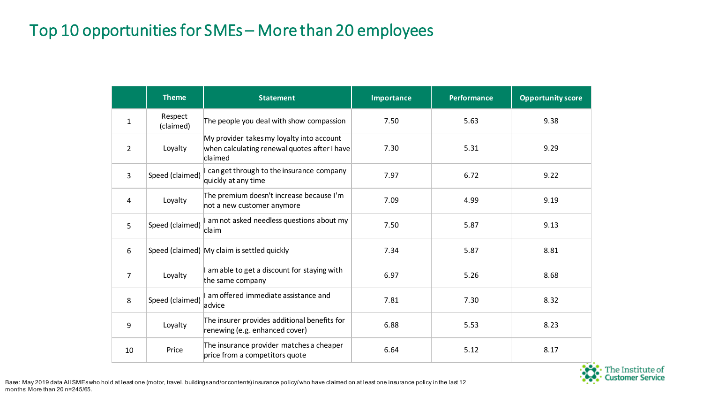#### Top 10 opportunities for SMEs – More than 20 employees

|                | <b>Theme</b>         | <b>Statement</b>                                                                                     | <b>Importance</b> | <b>Performance</b> | <b>Opportunity score</b> |
|----------------|----------------------|------------------------------------------------------------------------------------------------------|-------------------|--------------------|--------------------------|
| $\mathbf{1}$   | Respect<br>(claimed) | The people you deal with show compassion                                                             | 7.50              | 5.63               | 9.38                     |
| $\overline{2}$ | Loyalty              | My provider takes my loyalty into account<br>when calculating renewal quotes after I have<br>claimed | 7.30              | 5.31               | 9.29                     |
| 3              | Speed (claimed)      | I canget through to the insurance company<br>quickly at any time                                     | 7.97              | 6.72               | 9.22                     |
| 4              | Loyalty              | The premium doesn't increase because I'm<br>not a new customer anymore                               | 7.09              | 4.99               | 9.19                     |
| 5              | Speed (claimed)      | I am not asked needless questions about my<br>claim                                                  | 7.50              | 5.87               | 9.13                     |
| 6              |                      | Speed (claimed) My claim is settled quickly                                                          | 7.34              | 5.87               | 8.81                     |
| $\overline{7}$ | Loyalty              | amable to get a discount for staying with<br>the same company                                        | 6.97              | 5.26               | 8.68                     |
| 8              | Speed (claimed)      | I am offered immediate assistance and<br>advice                                                      | 7.81              | 7.30               | 8.32                     |
| 9              | Loyalty              | The insurer provides additional benefits for<br>renewing (e.g. enhanced cover)                       | 6.88              | 5.53               | 8.23                     |
| 10             | Price                | The insurance provider matches a cheaper<br>price from a competitors quote                           | 6.64              | 5.12               | 8.17                     |

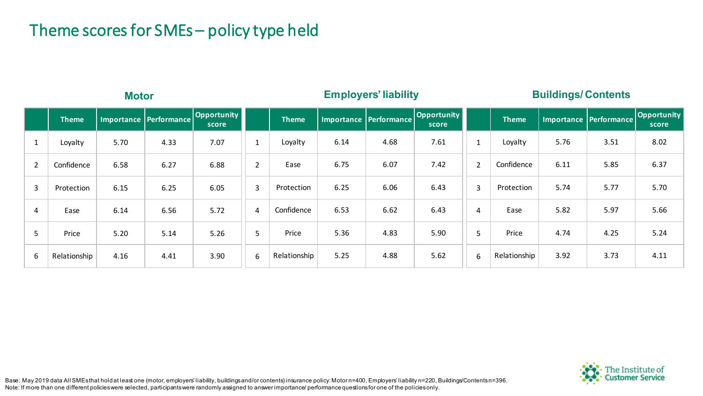### Theme scores for SMEs – policy type held

|                | <b>Motor</b> |      |                          |                      | <b>Employers' liability</b> |              |      | <b>Buildings/Contents</b> |                      |                |              |      |                          |                      |
|----------------|--------------|------|--------------------------|----------------------|-----------------------------|--------------|------|---------------------------|----------------------|----------------|--------------|------|--------------------------|----------------------|
|                | <b>Theme</b> |      | Importance   Performance | Opportunity<br>score |                             | <b>Theme</b> |      | Importance   Performance  | Opportunity<br>score |                | <b>Theme</b> |      | Importance   Performance | Opportunity<br>score |
| Ŧ              | Loyalty      | 5.70 | 4.33                     | 7.07                 | <b>T</b>                    | Loyalty      | 6.14 | 4.68                      | 7.61                 |                | Loyalty      | 5.76 | 3.51                     | 8.02                 |
| $\overline{2}$ | Confidence   | 6.58 | 6.27                     | 6.88                 | $\overline{2}$              | Ease         | 6.75 | 6.07                      | 7.42                 | $\overline{2}$ | Confidence   | 6.11 | 5.85                     | 6.37                 |
| $\overline{3}$ | Protection   | 6.15 | 6.25                     | 6.05                 | $\overline{3}$              | Protection   | 6.25 | 6.06                      | 6.43                 | $\overline{3}$ | Protection   | 5.74 | 5.77                     | 5.70                 |
| 4              | Ease         | 6.14 | 6.56                     | 5.72                 | 4                           | Confidence   | 6.53 | 6.62                      | 6.43                 | 4              | Ease         | 5.82 | 5.97                     | 5.66                 |
| 5              | Price        | 5.20 | 5.14                     | 5.26                 | 5                           | Price        | 5.36 | 4.83                      | 5.90                 | 5              | Price        | 4.74 | 4.25                     | 5.24                 |
| 6              | Relationship | 4.16 | 4.41                     | 3.90                 | 6                           | Relationship | 5.25 | 4.88                      | 5.62                 | 6              | Relationship | 3.92 | 3.73                     | 4.11                 |

The Institute of<br>C**ustomer Service** 

Base: May 2019 data All SMEs that hold at least one (motor, employers' liability, buildings and/or contents) insurance policy: Motor n=400, Employers' liability n=220, Buildings/Contents n=396. Note: If more than one different policies were selected, participants were randomly assigned to answer importance/ performance questions for one of the policies only.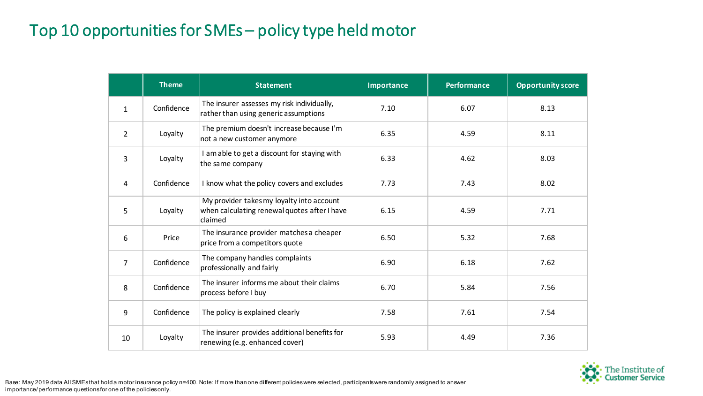## Top 10 opportunities for SMEs – policy type held motor

|                | <b>Theme</b> | <b>Statement</b>                                                                                     | <b>Importance</b> | <b>Performance</b> | <b>Opportunity score</b> |
|----------------|--------------|------------------------------------------------------------------------------------------------------|-------------------|--------------------|--------------------------|
| $\mathbf{1}$   | Confidence   | The insurer assesses my risk individually,<br>rather than using generic assumptions                  | 7.10              | 6.07               | 8.13                     |
| 2              | Loyalty      | The premium doesn't increase because I'm<br>not a new customer anymore                               | 6.35              | 4.59               | 8.11                     |
| 3              | Loyalty      | I am able to get a discount for staying with<br>the same company                                     | 6.33              | 4.62               | 8.03                     |
| 4              | Confidence   | I know what the policy covers and excludes                                                           | 7.73              | 7.43               | 8.02                     |
| 5              | Loyalty      | My provider takes my loyalty into account<br>when calculating renewal quotes after I have<br>claimed | 6.15              | 4.59               | 7.71                     |
| 6              | Price        | The insurance provider matches a cheaper<br>price from a competitors quote                           | 6.50              | 5.32               | 7.68                     |
| $\overline{7}$ | Confidence   | The company handles complaints<br>professionally and fairly                                          | 6.90              | 6.18               | 7.62                     |
| 8              | Confidence   | The insurer informs me about their claims<br>process before I buy                                    | 6.70              | 5.84               | 7.56                     |
| 9              | Confidence   | The policy is explained clearly                                                                      | 7.58              | 7.61               | 7.54                     |
| 10             | Loyalty      | The insurer provides additional benefits for<br>renewing (e.g. enhanced cover)                       | 5.93              | 4.49               | 7.36                     |

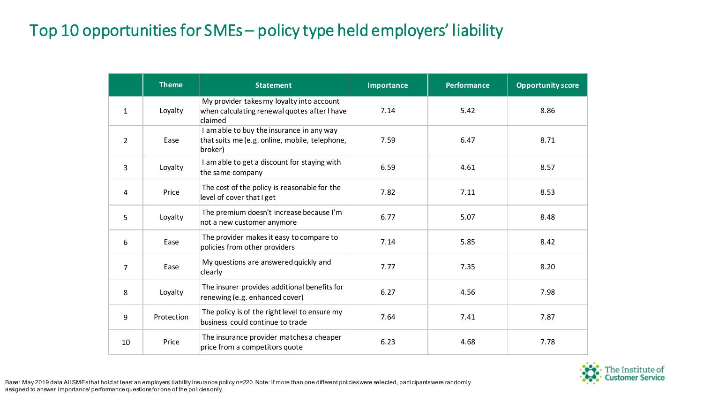## Top 10 opportunities for SMEs – policy type held employers' liability

|                | <b>Theme</b> | <b>Statement</b>                                                                                       | Importance | <b>Performance</b> | <b>Opportunity score</b> |
|----------------|--------------|--------------------------------------------------------------------------------------------------------|------------|--------------------|--------------------------|
| $\mathbf{1}$   | Loyalty      | My provider takes my loyalty into account<br>when calculating renewal quotes after I have<br>claimed   | 7.14       | 5.42               | 8.86                     |
| $\overline{2}$ | Ease         | I am able to buy the insurance in any way<br>that suits me (e.g. online, mobile, telephone,<br>broker) | 7.59       | 6.47               | 8.71                     |
| 3              | Loyalty      | I am able to get a discount for staying with<br>the same company                                       | 6.59       | 4.61               | 8.57                     |
| 4              | Price        | The cost of the policy is reasonable for the<br>level of cover that I get                              | 7.82       | 7.11               | 8.53                     |
| 5              | Loyalty      | The premium doesn't increase because I'm<br>not a new customer anymore                                 | 6.77       | 5.07               | 8.48                     |
| 6              | Ease         | The provider makes it easy to compare to<br>policies from other providers                              | 7.14       | 5.85               | 8.42                     |
| $\overline{7}$ | Ease         | My questions are answered quickly and<br>clearly                                                       | 7.77       | 7.35               | 8.20                     |
| 8              | Loyalty      | The insurer provides additional benefits for<br>renewing (e.g. enhanced cover)                         | 6.27       | 4.56               | 7.98                     |
| 9              | Protection   | The policy is of the right level to ensure my<br>business could continue to trade                      | 7.64       | 7.41               | 7.87                     |
| 10             | Price        | The insurance provider matches a cheaper<br>price from a competitors quote                             | 6.23       | 4.68               | 7.78                     |

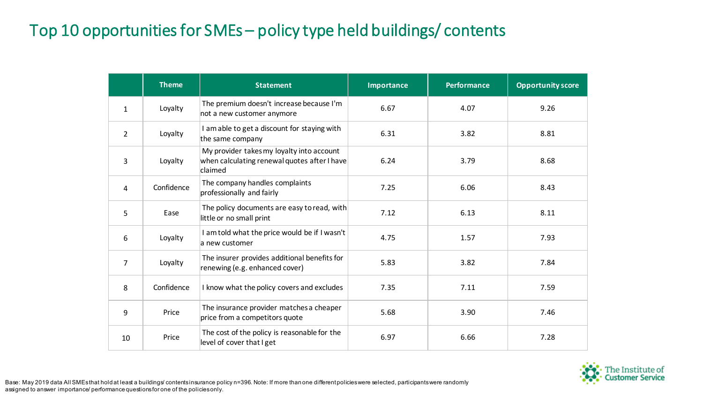## Top 10 opportunities for SMEs – policy type held buildings/ contents

|                | <b>Theme</b> | <b>Statement</b>                                                                                     | Importance | <b>Performance</b> | <b>Opportunity score</b> |
|----------------|--------------|------------------------------------------------------------------------------------------------------|------------|--------------------|--------------------------|
| 1              | Loyalty      | The premium doesn't increase because I'm<br>not a new customer anymore                               | 6.67       | 4.07               | 9.26                     |
| $\overline{2}$ | Loyalty      | I am able to get a discount for staying with<br>the same company                                     | 6.31       | 3.82               | 8.81                     |
| 3              | Loyalty      | My provider takes my loyalty into account<br>when calculating renewal quotes after I have<br>claimed | 6.24       | 3.79               | 8.68                     |
| 4              | Confidence   | The company handles complaints<br>professionally and fairly                                          | 7.25       | 6.06               | 8.43                     |
| 5              | Ease         | The policy documents are easy to read, with<br>little or no small print                              | 7.12       | 6.13               | 8.11                     |
| 6              | Loyalty      | I am told what the price would be if I wasn't<br>la new customer                                     | 4.75       | 1.57               | 7.93                     |
| 7              | Loyalty      | The insurer provides additional benefits for<br>renewing (e.g. enhanced cover)                       | 5.83       | 3.82               | 7.84                     |
| 8              | Confidence   | I know what the policy covers and excludes                                                           | 7.35       | 7.11               | 7.59                     |
| 9              | Price        | The insurance provider matches a cheaper<br>price from a competitors quote                           | 5.68       | 3.90               | 7.46                     |
| 10             | Price        | The cost of the policy is reasonable for the<br>level of cover that I get                            | 6.97       | 6.66               | 7.28                     |

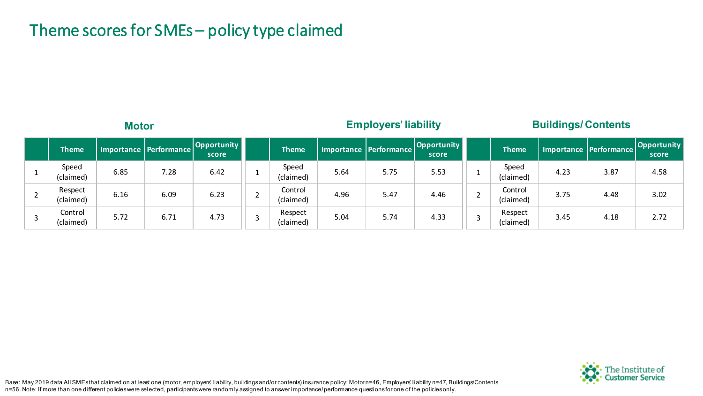#### Theme scores for SMEs – policy type claimed

| <b>Motor</b>         |      |                          |                      |  |                      | <b>Employers' liability</b> |                        |                      | <b>Buildings/Contents</b> |                      |      |                          |                      |
|----------------------|------|--------------------------|----------------------|--|----------------------|-----------------------------|------------------------|----------------------|---------------------------|----------------------|------|--------------------------|----------------------|
| <b>Theme</b>         |      | Importance   Performance | Opportunity<br>score |  | <b>Theme</b>         |                             | Importance Performance | Opportunity<br>score |                           | <b>Theme</b>         |      | Importance   Performance | Opportunity<br>score |
| Speed<br>(claimed)   | 6.85 | 7.28                     | 6.42                 |  | Speed<br>(claimed)   | 5.64                        | 5.75                   | 5.53                 |                           | Speed<br>(claimed)   | 4.23 | 3.87                     | 4.58                 |
| Respect<br>(claimed) | 6.16 | 6.09                     | 6.23                 |  | Control<br>(claimed) | 4.96                        | 5.47                   | 4.46                 |                           | Control<br>(claimed) | 3.75 | 4.48                     | 3.02                 |
| Control<br>(claimed) | 5.72 | 6.71                     | 4.73                 |  | Respect<br>(claimed) | 5.04                        | 5.74                   | 4.33                 |                           | Respect<br>(claimed) | 3.45 | 4.18                     | 2.72                 |



Base: May 2019 data All SMEs that claimed on at least one (motor, employers' liability, buildings and/or contents) insurance policy: Motor n=46, Employers' liability n=47, Buildings/Contents n=56. Note: If more than one different policies were selected, participants were randomly assigned to answer importance/ performance questions for one of the policies only.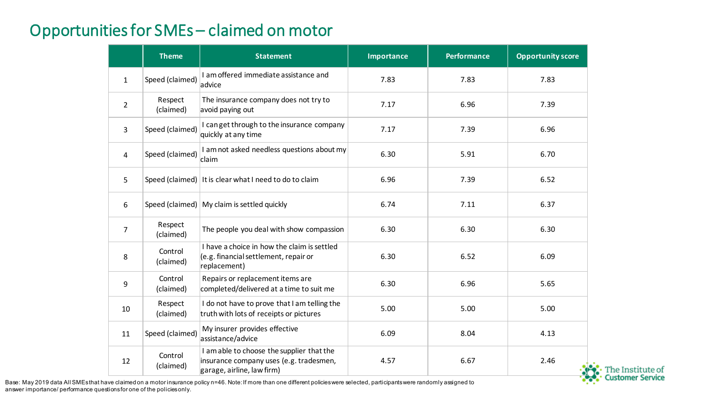#### Opportunities for SMEs – claimed on motor

|                | <b>Theme</b>         | <b>Statement</b>                                                                                                   | <b>Importance</b> | <b>Performance</b> | <b>Opportunity score</b> |
|----------------|----------------------|--------------------------------------------------------------------------------------------------------------------|-------------------|--------------------|--------------------------|
| $\mathbf{1}$   | Speed (claimed)      | I am offered immediate assistance and<br>advice                                                                    | 7.83              | 7.83               | 7.83                     |
| $\overline{2}$ | Respect<br>(claimed) | The insurance company does not try to<br>avoid paying out                                                          | 7.17              | 6.96               | 7.39                     |
| $\overline{3}$ | Speed (claimed)      | I can get through to the insurance company<br>quickly at any time                                                  | 7.17              | 7.39               | 6.96                     |
| 4              | Speed (claimed)      | I am not asked needless questions about my<br>claim                                                                | 6.30              | 5.91               | 6.70                     |
| 5              |                      | Speed (claimed) It is clear what I need to do to claim                                                             | 6.96              | 7.39               | 6.52                     |
| 6              |                      | Speed (claimed)   My claim is settled quickly                                                                      | 6.74              | 7.11               | 6.37                     |
| $\overline{7}$ | Respect<br>(claimed) | The people you deal with show compassion                                                                           | 6.30              | 6.30               | 6.30                     |
| 8              | Control<br>(claimed) | I have a choice in how the claim is settled<br>(e.g. financial settlement, repair or<br>replacement)               | 6.30              | 6.52               | 6.09                     |
| 9              | Control<br>(claimed) | Repairs or replacement items are<br>completed/delivered at a time to suit me                                       | 6.30              | 6.96               | 5.65                     |
| 10             | Respect<br>(claimed) | I do not have to prove that I am telling the<br>truth with lots of receipts or pictures                            | 5.00              | 5.00               | 5.00                     |
| 11             | Speed (claimed)      | My insurer provides effective<br>assistance/advice                                                                 | 6.09              | 8.04               | 4.13                     |
| 12             | Control<br>(claimed) | I am able to choose the supplier that the<br>insurance company uses (e.g. tradesmen,<br>garage, airline, law firm) | 4.57              | 6.67               | 2.46                     |

The Institute of<br>Customer Service

Base: May 2019 data All SMEs that have claimed on a motor insurance policy n=46. Note: If more than one different policies were selected, participants were randomly assigned to answer importance/ performance questions for one of the policies only.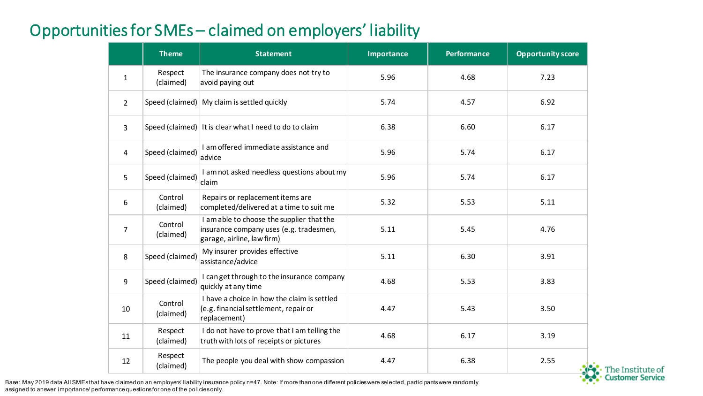#### Opportunities for SMEs – claimed on employers' liability

|                | <b>Theme</b>         | <b>Statement</b>                                                                                                   | <b>Importance</b> | <b>Performance</b> | <b>Opportunity score</b> |
|----------------|----------------------|--------------------------------------------------------------------------------------------------------------------|-------------------|--------------------|--------------------------|
| $\mathbf{1}$   | Respect<br>(claimed) | The insurance company does not try to<br>avoid paying out                                                          | 5.96              | 4.68               | 7.23                     |
| $\overline{2}$ |                      | Speed (claimed)   My claim is settled quickly                                                                      | 5.74              | 4.57               | 6.92                     |
| $\overline{3}$ |                      | Speed (claimed) It is clear what I need to do to claim                                                             | 6.38              | 6.60               | 6.17                     |
| 4              | Speed (claimed)      | I am offered immediate assistance and<br>advice                                                                    | 5.96              | 5.74               | 6.17                     |
| 5              | Speed (claimed)      | I am not asked needless questions about my<br>claim                                                                | 5.96              | 5.74               | 6.17                     |
| 6              | Control<br>(claimed) | Repairs or replacement items are<br>completed/delivered at a time to suit me                                       | 5.32              | 5.53               | 5.11                     |
| $\overline{7}$ | Control<br>(claimed) | I am able to choose the supplier that the<br>insurance company uses (e.g. tradesmen,<br>garage, airline, law firm) | 5.11              | 5.45               | 4.76                     |
| 8              | Speed (claimed)      | My insurer provides effective<br>assistance/advice                                                                 | 5.11              | 6.30               | 3.91                     |
| 9              | Speed (claimed)      | I can get through to the insurance company<br>quickly at any time                                                  | 4.68              | 5.53               | 3.83                     |
| 10             | Control<br>(claimed) | I have a choice in how the claim is settled<br>(e.g. financial settlement, repair or<br>replacement)               | 4.47              | 5.43               | 3.50                     |
| 11             | Respect<br>(claimed) | I do not have to prove that I am telling the<br>truth with lots of receipts or pictures                            | 4.68              | 6.17               | 3.19                     |
| 12             | Respect<br>(claimed) | The people you deal with show compassion                                                                           | 4.47              | 6.38               | 2.55                     |

The Institute of<br>Customer Service

Base: May 2019 data All SMEs that have claimed on an employers' liability insurance policy n=47. Note: If more than one different policies were selected, participants were randomly assigned to answer importance/ performance questions for one of the policies only.